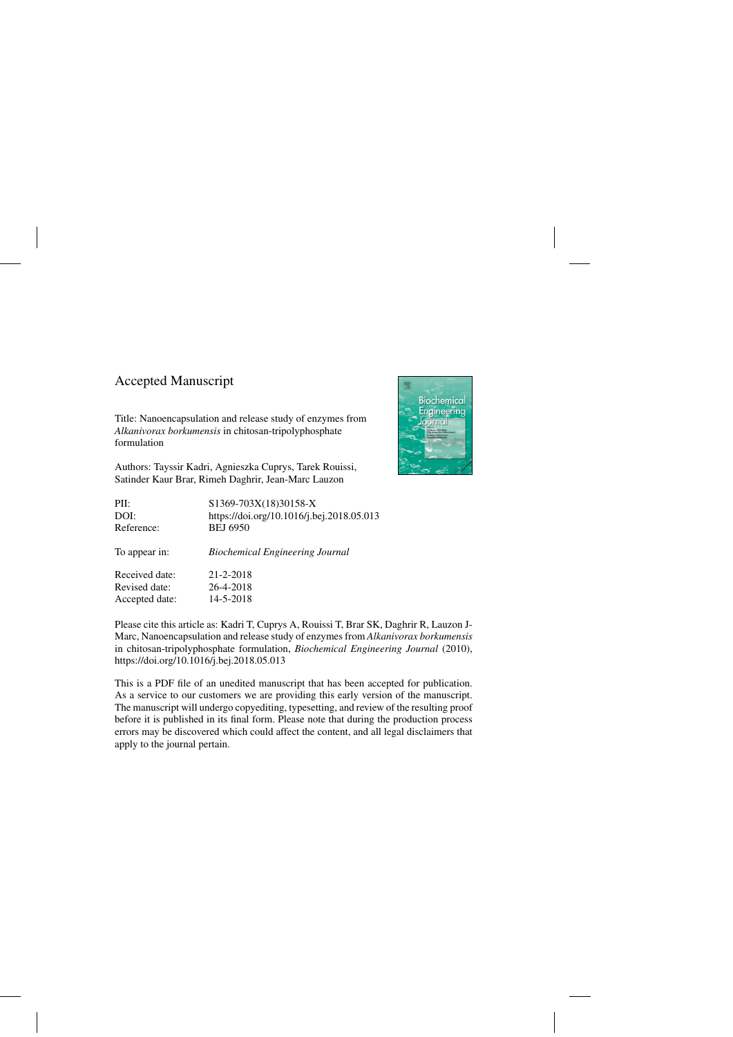## Accepted Manuscript

Title: Nanoencapsulation and release study of enzymes from *Alkanivorax borkumensis* in chitosan-tripolyphosphate formulation

Authors: Tayssir Kadri, Agnieszka Cuprys, Tarek Rouissi, Satinder Kaur Brar, Rimeh Daghrir, Jean-Marc Lauzon



| PII:           | S1369-703X(18)30158-X                     |
|----------------|-------------------------------------------|
| DOI:           | https://doi.org/10.1016/j.bej.2018.05.013 |
| Reference:     | <b>BEJ 6950</b>                           |
| To appear in:  | <b>Biochemical Engineering Journal</b>    |
| Received date: | 21-2-2018                                 |
| Revised date:  | 26-4-2018                                 |
| Accepted date: | 14-5-2018                                 |
|                |                                           |

Please cite this article as: Kadri T, Cuprys A, Rouissi T, Brar SK, Daghrir R, Lauzon J-Marc, Nanoencapsulation and release study of enzymes from *Alkanivorax borkumensis* in chitosan-tripolyphosphate formulation, *Biochemical Engineering Journal* (2010), <https://doi.org/10.1016/j.bej.2018.05.013>

This is a PDF file of an unedited manuscript that has been accepted for publication. As a service to our customers we are providing this early version of the manuscript. The manuscript will undergo copyediting, typesetting, and review of the resulting proof before it is published in its final form. Please note that during the production process errors may be discovered which could affect the content, and all legal disclaimers that apply to the journal pertain.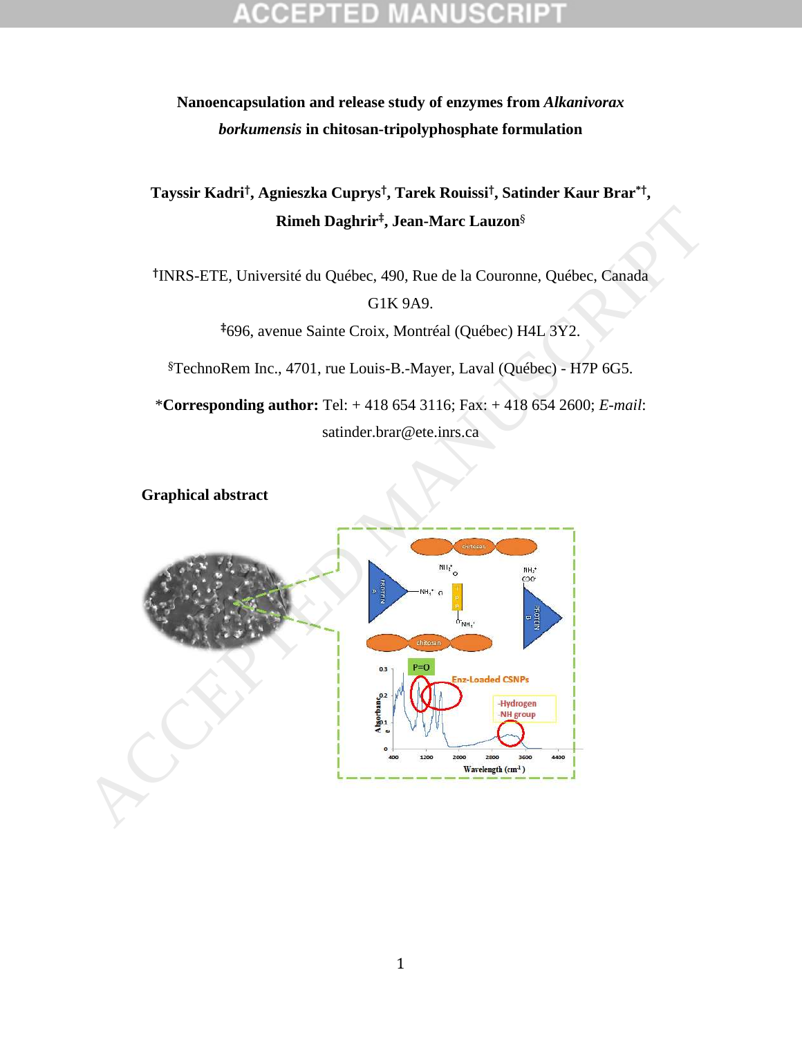# ID

## **Nanoencapsulation and release study of enzymes from** *Alkanivorax borkumensis* **in chitosan-tripolyphosphate formulation**

**Tayssir Kadri† , Agnieszka Cuprys† , Tarek Rouissi† , Satinder Kaur Brar\*† , Rimeh Daghrir‡ , Jean-Marc Lauzon**§

**†** INRS-ETE, Université du Québec, 490, Rue de la Couronne, Québec, Canada G1K 9A9.

**‡**696, avenue Sainte Croix, Montréal (Québec) H4L 3Y2.

§TechnoRem Inc., 4701, rue Louis-B.-Mayer, Laval (Québec) - H7P 6G5.

\***Corresponding author:** Tel: + 418 654 3116; Fax: + 418 654 2600; *E-mail*: satinder.brar@ete.inrs.ca

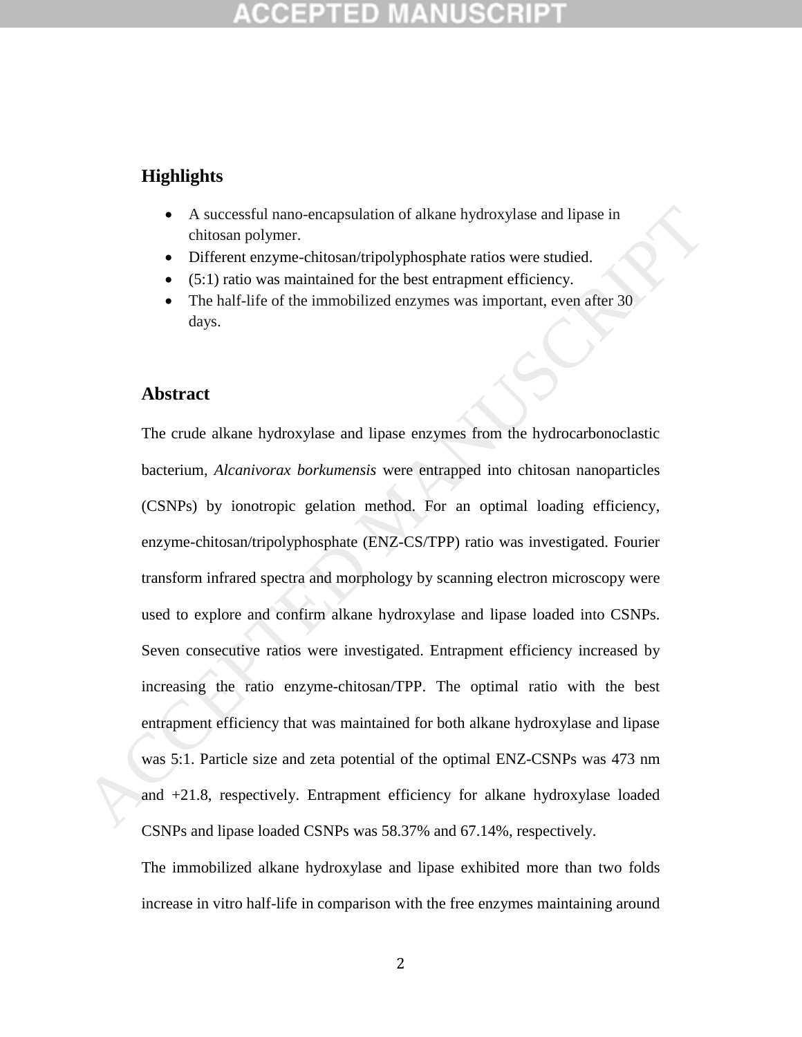## **Highlights**

- A successful nano-encapsulation of alkane hydroxylase and lipase in chitosan polymer.
- Different enzyme-chitosan/tripolyphosphate ratios were studied.
- (5:1) ratio was maintained for the best entrapment efficiency.
- The half-life of the immobilized enzymes was important, even after 30 days.

## **Abstract**

The crude alkane hydroxylase and lipase enzymes from the hydrocarbonoclastic bacterium, *Alcanivorax borkumensis* were entrapped into chitosan nanoparticles (CSNPs) by ionotropic gelation method. For an optimal loading efficiency, enzyme-chitosan/tripolyphosphate (ENZ-CS/TPP) ratio was investigated. Fourier transform infrared spectra and morphology by scanning electron microscopy were used to explore and confirm alkane hydroxylase and lipase loaded into CSNPs. Seven consecutive ratios were investigated. Entrapment efficiency increased by increasing the ratio enzyme-chitosan/TPP. The optimal ratio with the best entrapment efficiency that was maintained for both alkane hydroxylase and lipase was 5:1. Particle size and zeta potential of the optimal ENZ-CSNPs was 473 nm and +21.8, respectively. Entrapment efficiency for alkane hydroxylase loaded CSNPs and lipase loaded CSNPs was 58.37% and 67.14%, respectively. A successful nano-encapsulation of alkane hydroxylase and lipase in<br>
chitesian polymer.<br>
Different enzyme-chitosan/tripolyphosphate ratios were studied.<br>
• (5:1) ratio was maintained for the best entreprnent efficiency.<br>

The immobilized alkane hydroxylase and lipase exhibited more than two folds increase in vitro half-life in comparison with the free enzymes maintaining around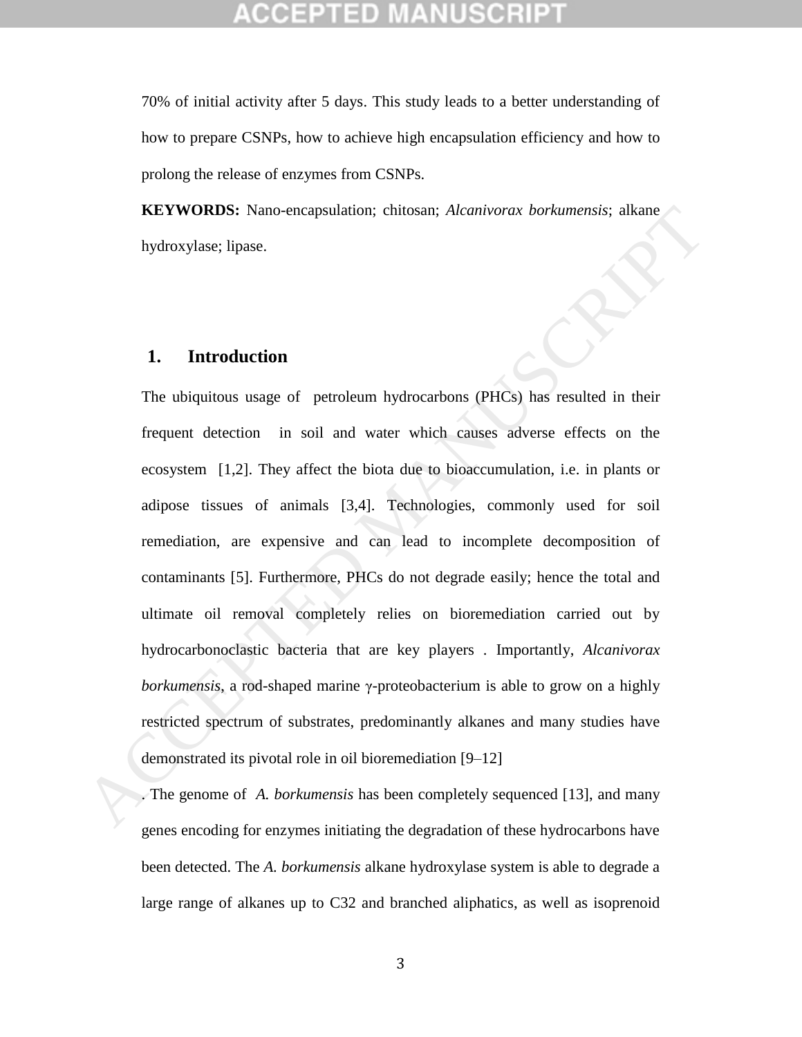70% of initial activity after 5 days. This study leads to a better understanding of how to prepare CSNPs, how to achieve high encapsulation efficiency and how to prolong the release of enzymes from CSNPs.

**KEYWORDS:** Nano-encapsulation; chitosan; *Alcanivorax borkumensis*; alkane hydroxylase; lipase.

## **1. Introduction**

The ubiquitous usage of petroleum hydrocarbons (PHCs) has resulted in their frequent detection in soil and water which causes adverse effects on the ecosystem [1,2]. They affect the biota due to bioaccumulation, i.e. in plants or adipose tissues of animals [3,4]. Technologies, commonly used for soil remediation, are expensive and can lead to incomplete decomposition of contaminants [5]. Furthermore, PHCs do not degrade easily; hence the total and ultimate oil removal completely relies on bioremediation carried out by hydrocarbonoclastic bacteria that are key players . Importantly, *Alcanivorax borkumensis*, a rod-shaped marine γ-proteobacterium is able to grow on a highly restricted spectrum of substrates, predominantly alkanes and many studies have demonstrated its pivotal role in oil bioremediation [9–12] **KEYWORDS:** Nano-encapsulation; chitosan; *Alcanivorax borkumensis*; alkane<br>hydroxylase: lipase.<br>**1. Introduction**<br>**1. Introduction**<br>**1. Introduction**<br>**1. Introduction**<br>**1. Introduction**<br>**1. Introduction**<br>**1.** 

. The genome of *A. borkumensis* has been completely sequenced [13], and many genes encoding for enzymes initiating the degradation of these hydrocarbons have been detected. The *A. borkumensis* alkane hydroxylase system is able to degrade a large range of alkanes up to C32 and branched aliphatics, as well as isoprenoid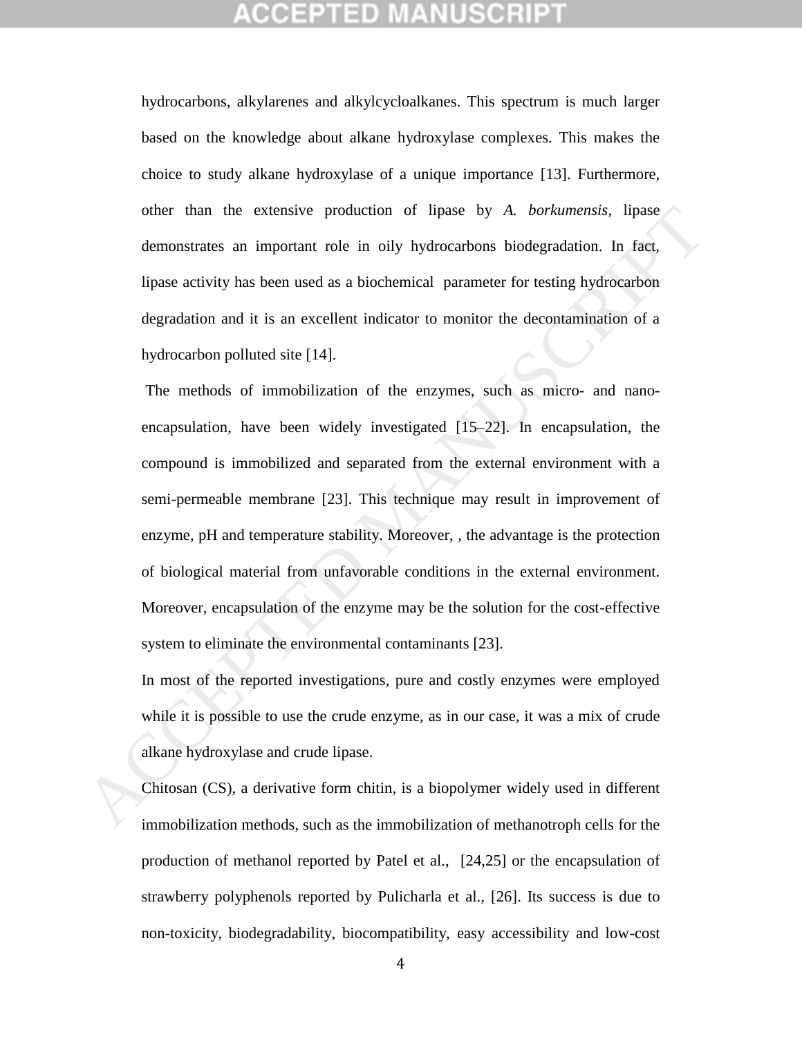hydrocarbons, alkylarenes and alkylcycloalkanes. This spectrum is much larger based on the knowledge about alkane hydroxylase complexes. This makes the choice to study alkane hydroxylase of a unique importance [13]. Furthermore, other than the extensive production of lipase by *A. borkumensis*, lipase demonstrates an important role in oily hydrocarbons biodegradation. In fact, lipase activity has been used as a biochemical parameter for testing hydrocarbon degradation and it is an excellent indicator to monitor the decontamination of a hydrocarbon polluted site [14].

The methods of immobilization of the enzymes, such as micro- and nanoencapsulation, have been widely investigated [15–22]. In encapsulation, the compound is immobilized and separated from the external environment with a semi-permeable membrane [23]. This technique may result in improvement of enzyme, pH and temperature stability. Moreover, , the advantage is the protection of biological material from unfavorable conditions in the external environment. Moreover, encapsulation of the enzyme may be the solution for the cost-effective system to eliminate the environmental contaminants [23]. other than the extensive production of lipsae by *A. borkumensis*, lipsae<br>demonstrates an important role in oily hydrocarbons biodegradation. In fact,<br>lipsae activity has been used as a biochemical parameter for testing h

In most of the reported investigations, pure and costly enzymes were employed while it is possible to use the crude enzyme, as in our case, it was a mix of crude alkane hydroxylase and crude lipase.

Chitosan (CS), a derivative form chitin, is a biopolymer widely used in different immobilization methods, such as the immobilization of methanotroph cells for the production of methanol reported by Patel et al., [24,25] or the encapsulation of strawberry polyphenols reported by Pulicharla et al., [26]. Its success is due to non-toxicity, biodegradability, biocompatibility, easy accessibility and low-cost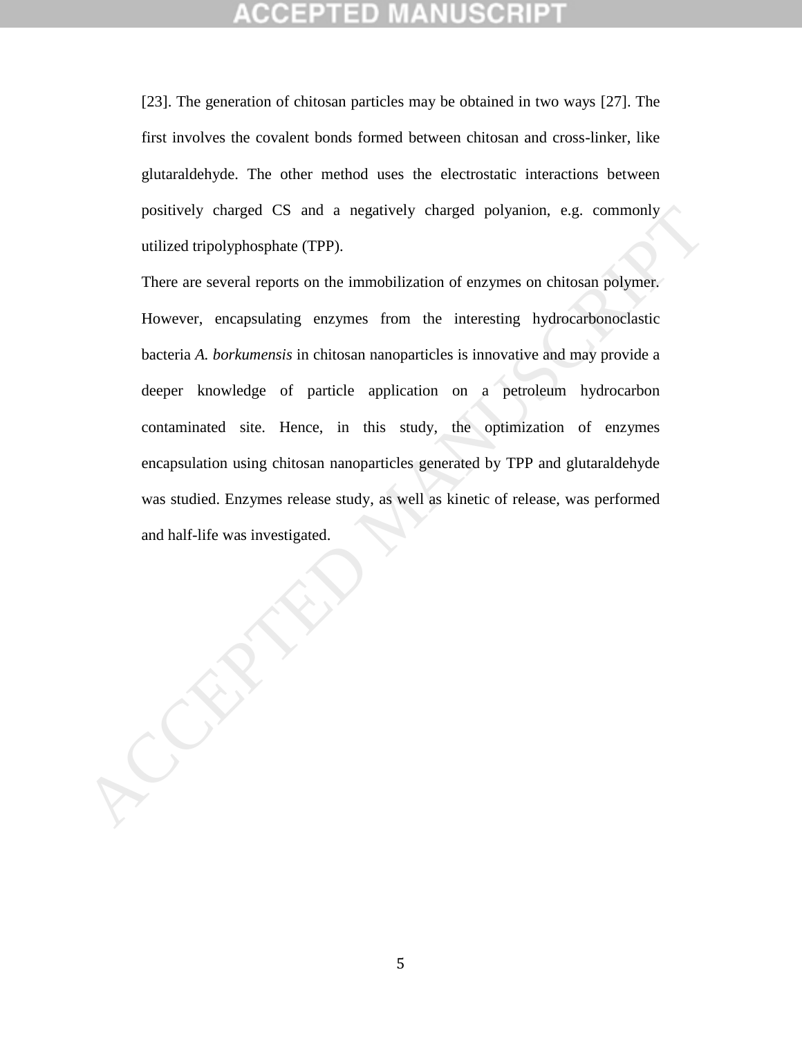[23]. The generation of chitosan particles may be obtained in two ways [27]. The first involves the covalent bonds formed between chitosan and cross-linker, like glutaraldehyde. The other method uses the electrostatic interactions between positively charged CS and a negatively charged polyanion, e.g. commonly utilized tripolyphosphate (TPP).

There are several reports on the immobilization of enzymes on chitosan polymer. However, encapsulating enzymes from the interesting hydrocarbonoclastic bacteria *A. borkumensis* in chitosan nanoparticles is innovative and may provide a deeper knowledge of particle application on a petroleum hydrocarbon contaminated site. Hence, in this study, the optimization of enzymes encapsulation using chitosan nanoparticles generated by TPP and glutaraldehyde was studied. Enzymes release study, as well as kinetic of release, was performed positively charged CS and a negatively charged polyanion, e.g. commonly<br>utilized tripolyphosphate (TPP).<br>There are several reports on the immobilization of enzymes on chitosan polymer.<br>However, encapsulating enzymes from t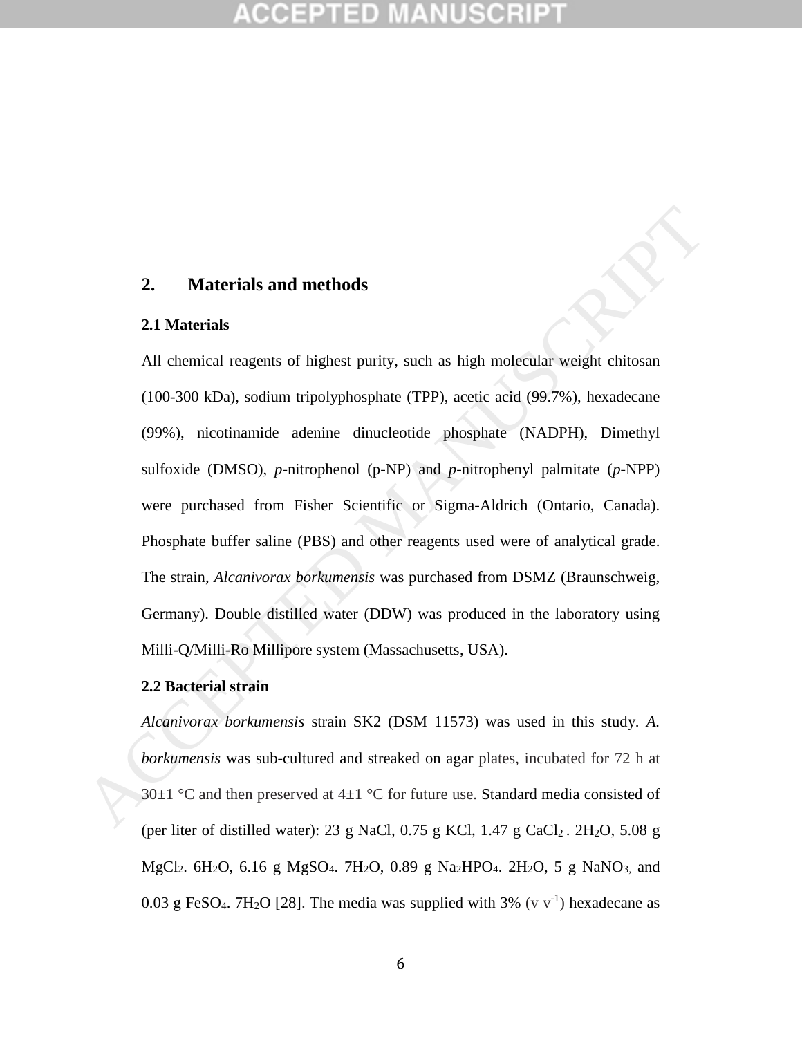### **2. Materials and methods**

### **2.1 Materials**

All chemical reagents of highest purity, such as high molecular weight chitosan (100-300 kDa), sodium tripolyphosphate (TPP), acetic acid (99.7%), hexadecane (99%), nicotinamide adenine dinucleotide phosphate (NADPH), Dimethyl sulfoxide (DMSO), *p*-nitrophenol (p-NP) and *p*-nitrophenyl palmitate (*p-*NPP) were purchased from Fisher Scientific or Sigma-Aldrich (Ontario, Canada). Phosphate buffer saline (PBS) and other reagents used were of analytical grade. The strain, *Alcanivorax borkumensis* was purchased from DSMZ (Braunschweig, Germany). Double distilled water (DDW) was produced in the laboratory using Milli-Q/Milli-Ro Millipore system (Massachusetts, USA). 2. **Materials and methods**<br>
2.1 Materials<br>
All chemical reagents of highest purity, such as high molecular weight chitosan<br>
(100-300 kDa), sodium tripolyphosphate (TPP), acetic acid (99.7%), hexadecane<br>
(99%), nicotinamid

### **2.2 Bacterial strain**

*Alcanivorax borkumensis* strain SK2 (DSM 11573) was used in this study. *A. borkumensis* was sub-cultured and streaked on agar plates, incubated for 72 h at 30 $\pm$ 1 °C and then preserved at 4 $\pm$ 1 °C for future use. Standard media consisted of (per liter of distilled water): 23 g NaCl, 0.75 g KCl,  $1.47$  g CaCl<sub>2</sub>.  $2H_2O$ ,  $5.08$  g MgCl<sub>2</sub>. 6H<sub>2</sub>O, 6.16 g MgSO<sub>4</sub>. 7H<sub>2</sub>O, 0.89 g Na<sub>2</sub>HPO<sub>4</sub>. 2H<sub>2</sub>O, 5 g NaNO<sub>3</sub> and 0.03 g FeSO<sub>4</sub>. 7H<sub>2</sub>O [28]. The media was supplied with 3% (v  $v^{-1}$ ) hexadecane as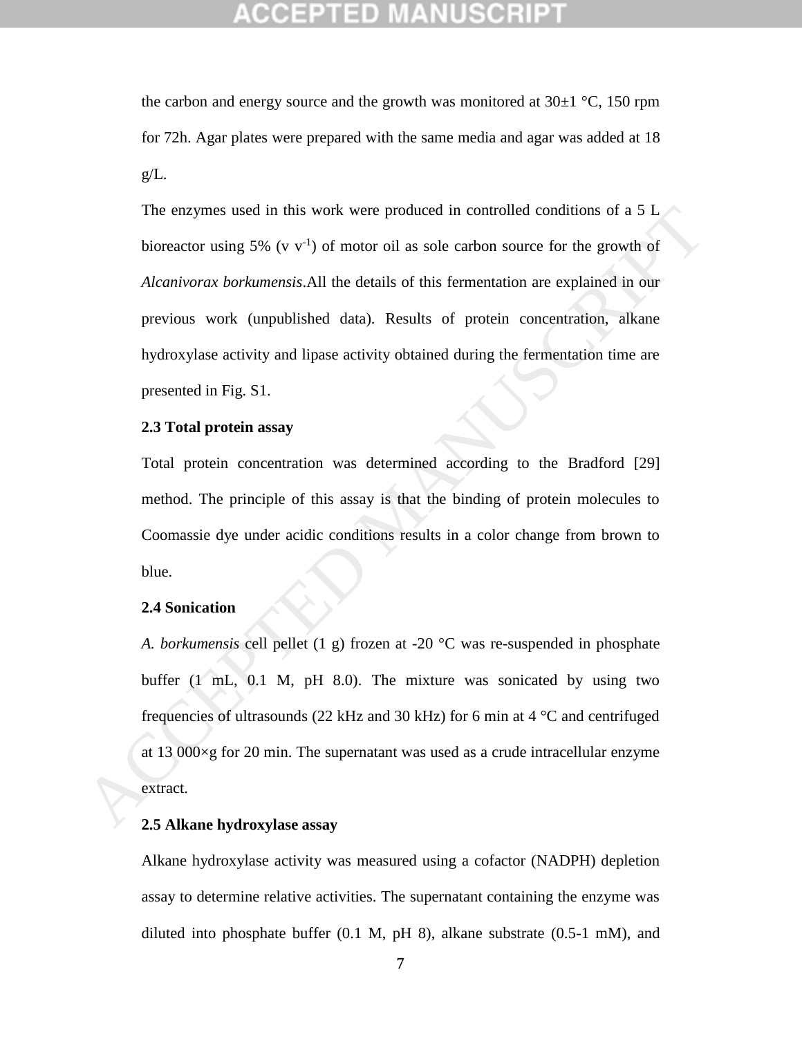the carbon and energy source and the growth was monitored at  $30\pm1$  °C, 150 rpm for 72h. Agar plates were prepared with the same media and agar was added at 18  $g/L$ .

The enzymes used in this work were produced in controlled conditions of a 5 L bioreactor using 5% (v  $v^{-1}$ ) of motor oil as sole carbon source for the growth of *Alcanivorax borkumensis*.All the details of this fermentation are explained in our previous work (unpublished data). Results of protein concentration, alkane hydroxylase activity and lipase activity obtained during the fermentation time are presented in Fig. S1. The enzymes used in this work were produced in controlled conditions of a 5 L<br>bioreactor using 5% (v v<sup>-1</sup>) of motor oil as sole carbon source for the growth of<br>Acceptionar borkannensis. All the details of this fermentati

### **2.3 Total protein assay**

Total protein concentration was determined according to the Bradford [29] method. The principle of this assay is that the binding of protein molecules to Coomassie dye under acidic conditions results in a color change from brown to blue.

### **2.4 Sonication**

*A. borkumensis* cell pellet (1 g) frozen at -20 °C was re-suspended in phosphate buffer (1 mL, 0.1 M, pH 8.0). The mixture was sonicated by using two frequencies of ultrasounds (22 kHz and 30 kHz) for 6 min at 4 °C and centrifuged at 13 000×g for 20 min. The supernatant was used as a crude intracellular enzyme extract.

### **2.5 Alkane hydroxylase assay**

Alkane hydroxylase activity was measured using a cofactor (NADPH) depletion assay to determine relative activities. The supernatant containing the enzyme was diluted into phosphate buffer (0.1 M, pH 8), alkane substrate (0.5-1 mM), and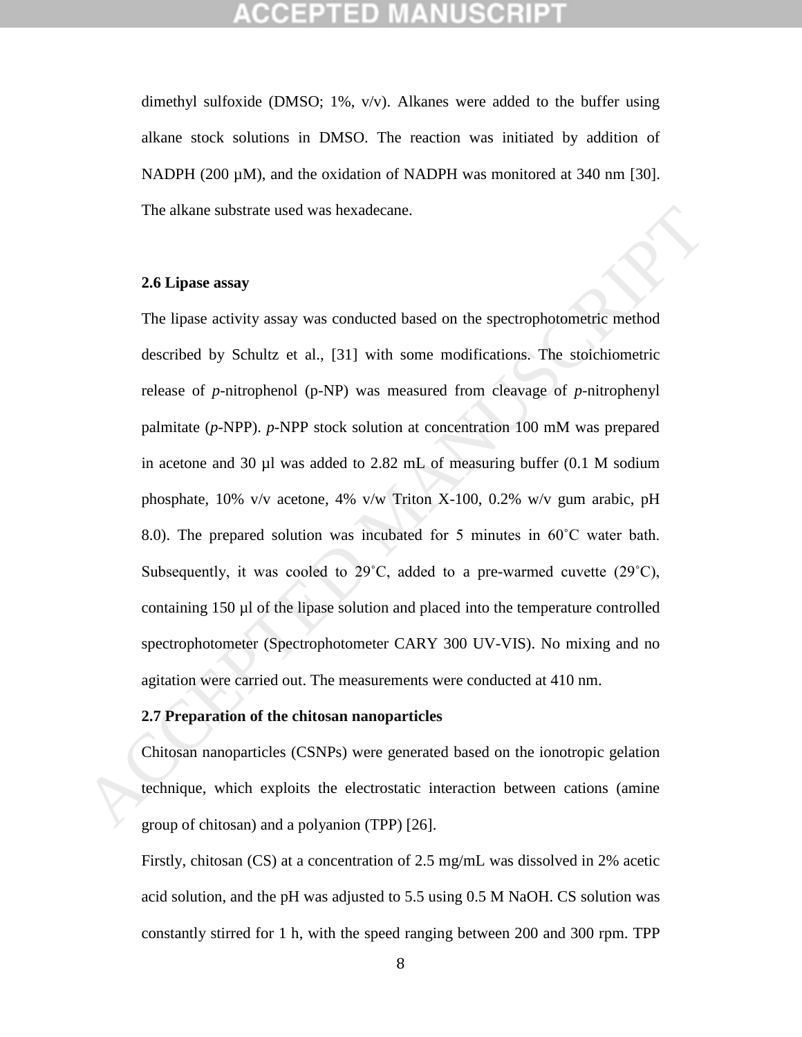dimethyl sulfoxide (DMSO;  $1\%$ ,  $v/v$ ). Alkanes were added to the buffer using alkane stock solutions in DMSO. The reaction was initiated by addition of NADPH (200  $\mu$ M), and the oxidation of NADPH was monitored at 340 nm [30]. The alkane substrate used was hexadecane.

### **2.6 Lipase assay**

The lipase activity assay was conducted based on the spectrophotometric method described by Schultz et al., [31] with some modifications. The stoichiometric release of *p*-nitrophenol (p-NP) was measured from cleavage of *p*-nitrophenyl palmitate (*p-*NPP). *p-*NPP stock solution at concentration 100 mM was prepared in acetone and 30  $\mu$ l was added to 2.82 mL of measuring buffer (0.1 M sodium phosphate, 10% v/v acetone, 4% v/w Triton X-100, 0.2% w/v gum arabic, pH 8.0). The prepared solution was incubated for 5 minutes in 60˚C water bath. Subsequently, it was cooled to  $29^{\circ}$ C, added to a pre-warmed cuvette  $(29^{\circ}$ C), containing 150 µl of the lipase solution and placed into the temperature controlled spectrophotometer (Spectrophotometer CARY 300 UV-VIS). No mixing and no agitation were carried out. The measurements were conducted at 410 nm. The alkane substrate used was hexadecane.<br>
2.6 Lipase assay<br>
The lipase activity assay was conducted based on the spectrophotometric method<br>
described by Schultz et al., [31] with some modifications. The stoichiometric<br>
r

### **2.7 Preparation of the chitosan nanoparticles**

Chitosan nanoparticles (CSNPs) were generated based on the ionotropic gelation technique, which exploits the electrostatic interaction between cations (amine group of chitosan) and a polyanion (TPP) [26].

Firstly, chitosan (CS) at a concentration of 2.5 mg/mL was dissolved in 2% acetic acid solution, and the pH was adjusted to 5.5 using 0.5 M NaOH. CS solution was constantly stirred for 1 h, with the speed ranging between 200 and 300 rpm. TPP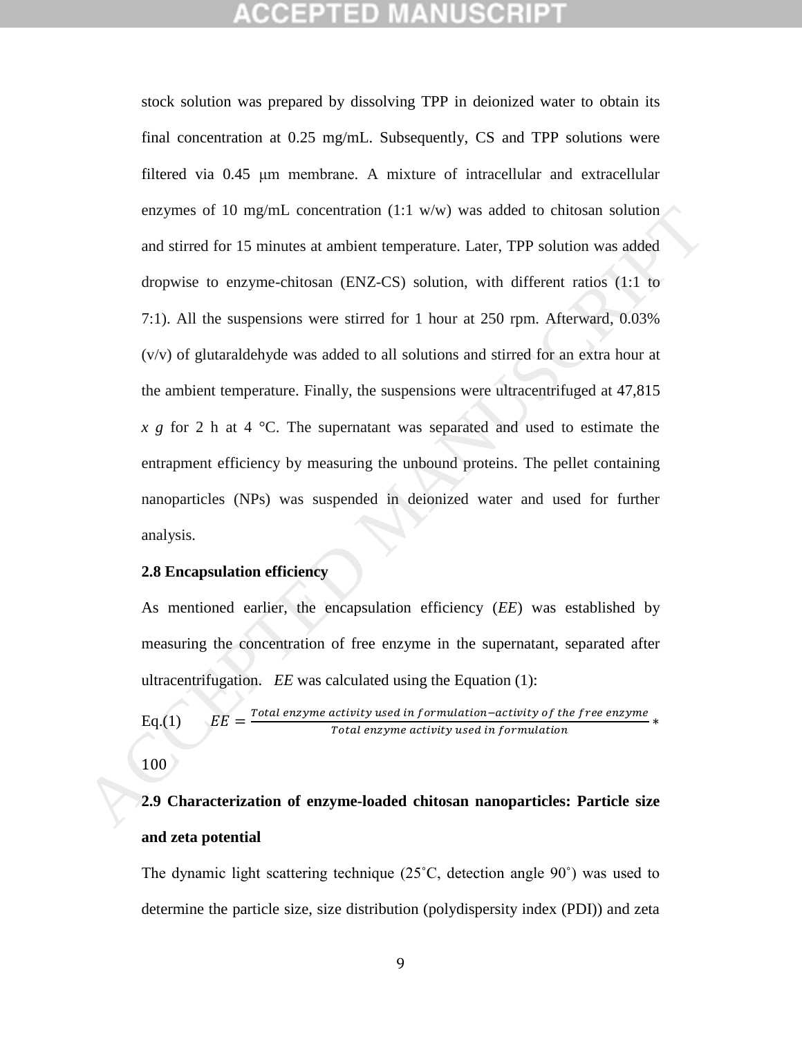stock solution was prepared by dissolving TPP in deionized water to obtain its final concentration at 0.25 mg/mL. Subsequently, CS and TPP solutions were filtered via 0.45 μm membrane. A mixture of intracellular and extracellular enzymes of 10 mg/mL concentration  $(1:1 \text{ w/w})$  was added to chitosan solution and stirred for 15 minutes at ambient temperature. Later, TPP solution was added dropwise to enzyme-chitosan (ENZ-CS) solution, with different ratios (1:1 to 7:1). All the suspensions were stirred for 1 hour at 250 rpm. Afterward, 0.03% (v/v) of glutaraldehyde was added to all solutions and stirred for an extra hour at the ambient temperature. Finally, the suspensions were ultracentrifuged at 47,815 *x g* for 2 h at 4 °C. The supernatant was separated and used to estimate the entrapment efficiency by measuring the unbound proteins. The pellet containing nanoparticles (NPs) was suspended in deionized water and used for further analysis. enzymes of 10 mg/mL concentration (1:1 w/w) was added to chitosan solution<br>and stirred for 15 minutes at ambient temperature. Later, TPP solution was added<br>dropwise to enzyme-chitosan (ENZ-CS) solution, with different rat

### **2.8 Encapsulation efficiency**

As mentioned earlier, the encapsulation efficiency (*EE*) was established by measuring the concentration of free enzyme in the supernatant, separated after ultracentrifugation. *EE* was calculated using the Equation (1):

Eq.(1) 
$$
EE = \frac{\text{Total enzyme activity used in formulation–activity of the free enzyme}}{\text{Total enzyme activity used in formulation}}
$$

100

# **2.9 Characterization of enzyme-loaded chitosan nanoparticles: Particle size and zeta potential**

The dynamic light scattering technique (25˚C, detection angle 90˚) was used to determine the particle size, size distribution (polydispersity index (PDI)) and zeta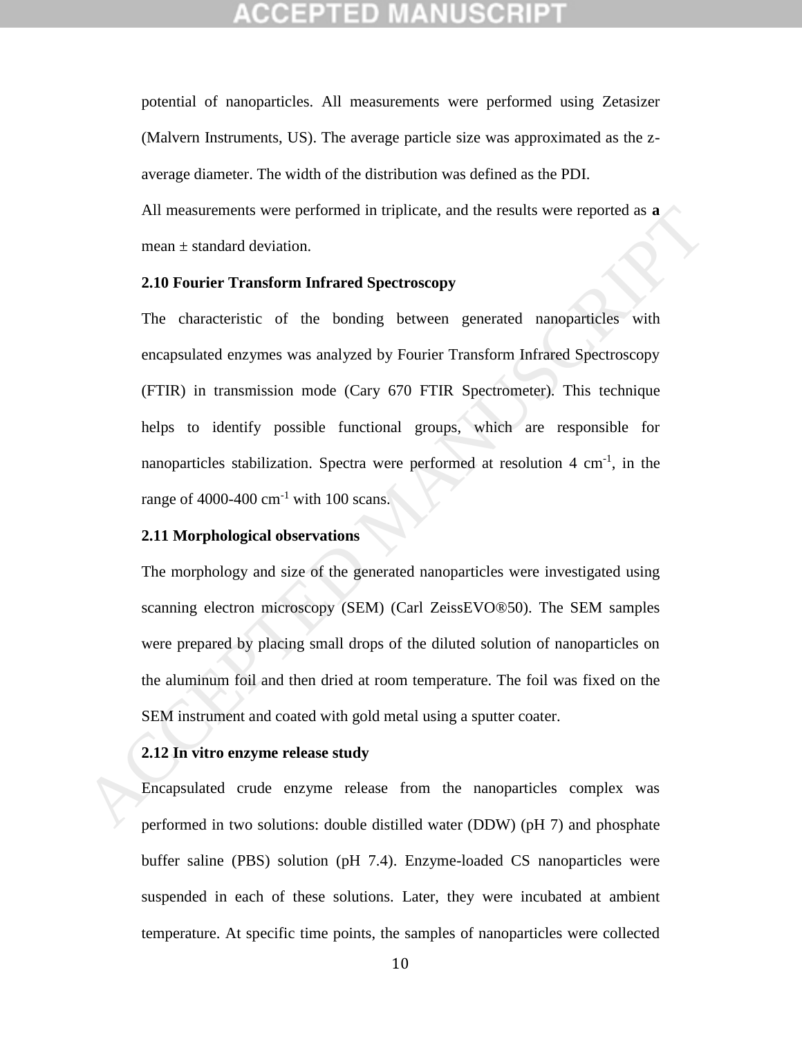potential of nanoparticles. All measurements were performed using Zetasizer (Malvern Instruments, US). The average particle size was approximated as the zaverage diameter. The width of the distribution was defined as the PDI.

All measurements were performed in triplicate, and the results were reported as **a**  mean  $\pm$  standard deviation.

### **2.10 Fourier Transform Infrared Spectroscopy**

The characteristic of the bonding between generated nanoparticles with encapsulated enzymes was analyzed by Fourier Transform Infrared Spectroscopy (FTIR) in transmission mode (Cary 670 FTIR Spectrometer). This technique helps to identify possible functional groups, which are responsible for nanoparticles stabilization. Spectra were performed at resolution  $4 \text{ cm}^{-1}$ , in the range of 4000-400  $\text{cm}^{-1}$  with 100 scans. All measurements were performed in triplicate, and the results were reported as a<br>mean  $\pm$  standard deviation.<br>2.10 Fourier Transform Infrared Spectroscopy<br>The characteristic of the bonding between generated nanoparticle

## **2.11 Morphological observations**

The morphology and size of the generated nanoparticles were investigated using scanning electron microscopy (SEM) (Carl ZeissEVO®50). The SEM samples were prepared by placing small drops of the diluted solution of nanoparticles on the aluminum foil and then dried at room temperature. The foil was fixed on the SEM instrument and coated with gold metal using a sputter coater.

### **2.12 In vitro enzyme release study**

Encapsulated crude enzyme release from the nanoparticles complex was performed in two solutions: double distilled water (DDW) (pH 7) and phosphate buffer saline (PBS) solution (pH 7.4). Enzyme-loaded CS nanoparticles were suspended in each of these solutions. Later, they were incubated at ambient temperature. At specific time points, the samples of nanoparticles were collected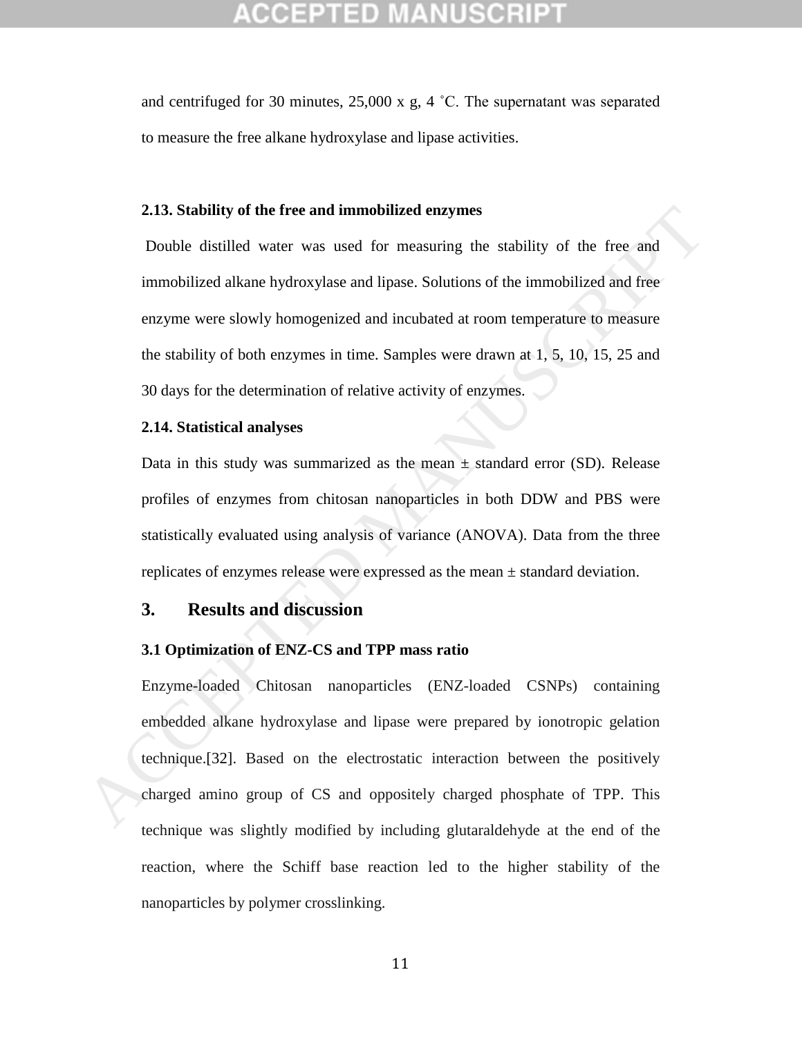and centrifuged for 30 minutes, 25,000 x g, 4 ˚C. The supernatant was separated to measure the free alkane hydroxylase and lipase activities.

### **2.13. Stability of the free and immobilized enzymes**

Double distilled water was used for measuring the stability of the free and immobilized alkane hydroxylase and lipase. Solutions of the immobilized and free enzyme were slowly homogenized and incubated at room temperature to measure the stability of both enzymes in time. Samples were drawn at 1, 5, 10, 15, 25 and 30 days for the determination of relative activity of enzymes. **2.13. Stability of the free and immobilized enzymes**<br>
Double distilled water was used for measuring the stability of the free and<br>
immobilized atkane hydroxylase and fipase. Solutions of the immobilized and free<br>
enzyme

### **2.14. Statistical analyses**

Data in this study was summarized as the mean  $\pm$  standard error (SD). Release profiles of enzymes from chitosan nanoparticles in both DDW and PBS were statistically evaluated using analysis of variance (ANOVA). Data from the three replicates of enzymes release were expressed as the mean ± standard deviation.

### **3. Results and discussion**

### **3.1 Optimization of ENZ-CS and TPP mass ratio**

Enzyme-loaded Chitosan nanoparticles (ENZ-loaded CSNPs) containing embedded alkane hydroxylase and lipase were prepared by ionotropic gelation technique.[32]. Based on the electrostatic interaction between the positively charged amino group of CS and oppositely charged phosphate of TPP. This technique was slightly modified by including glutaraldehyde at the end of the reaction, where the Schiff base reaction led to the higher stability of the nanoparticles by polymer crosslinking.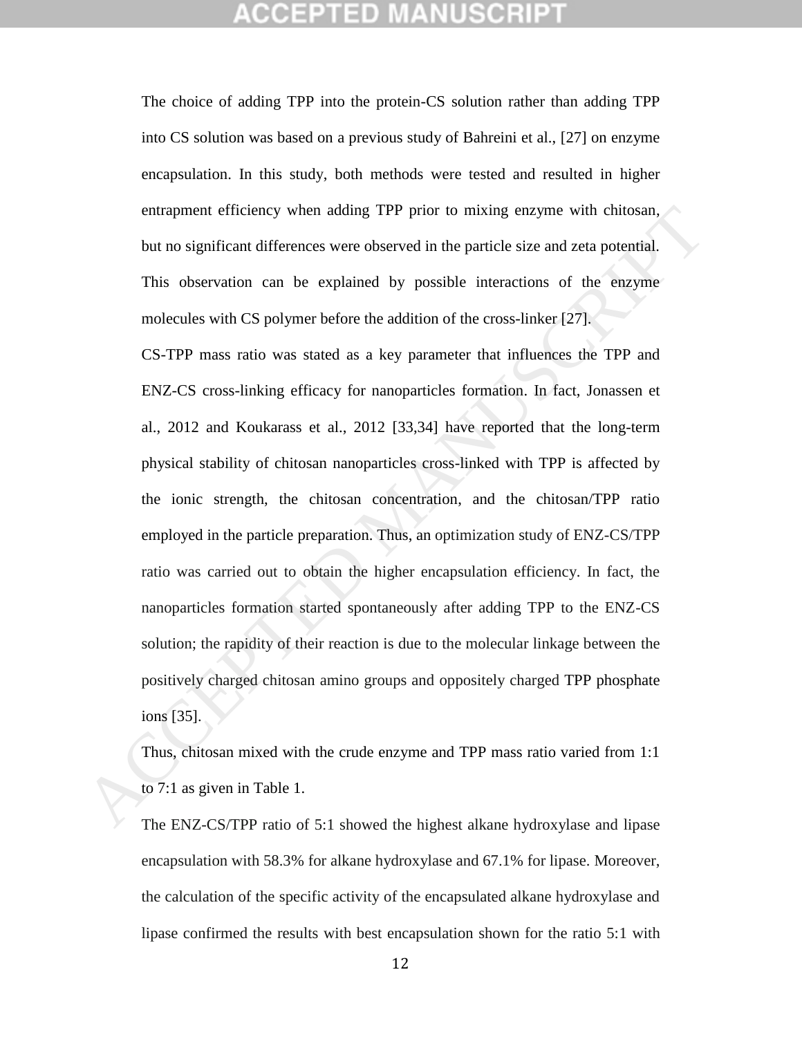## TED

The choice of adding TPP into the protein-CS solution rather than adding TPP into CS solution was based on a previous study of Bahreini et al., [27] on enzyme encapsulation. In this study, both methods were tested and resulted in higher entrapment efficiency when adding TPP prior to mixing enzyme with chitosan, but no significant differences were observed in the particle size and zeta potential. This observation can be explained by possible interactions of the enzyme molecules with CS polymer before the addition of the cross-linker [27].

CS-TPP mass ratio was stated as a key parameter that influences the TPP and ENZ-CS cross-linking efficacy for nanoparticles formation. In fact, Jonassen et al., 2012 and Koukarass et al., 2012 [33,34] have reported that the long-term physical stability of chitosan nanoparticles cross-linked with TPP is affected by the ionic strength, the chitosan concentration, and the chitosan/TPP ratio employed in the particle preparation. Thus, an optimization study of ENZ-CS/TPP ratio was carried out to obtain the higher encapsulation efficiency. In fact, the nanoparticles formation started spontaneously after adding TPP to the ENZ-CS solution; the rapidity of their reaction is due to the molecular linkage between the positively charged chitosan amino groups and oppositely charged TPP phosphate ions [35]. entrapment efficiency when adding TPP prior to mixing enzyme with chitosan,<br>but no significant differences were observed in the particle size and zeta potential.<br>This observation can be explained by possible interactions o

Thus, chitosan mixed with the crude enzyme and TPP mass ratio varied from 1:1 to 7:1 as given in Table 1.

The ENZ-CS/TPP ratio of 5:1 showed the highest alkane hydroxylase and lipase encapsulation with 58.3% for alkane hydroxylase and 67.1% for lipase. Moreover, the calculation of the specific activity of the encapsulated alkane hydroxylase and lipase confirmed the results with best encapsulation shown for the ratio 5:1 with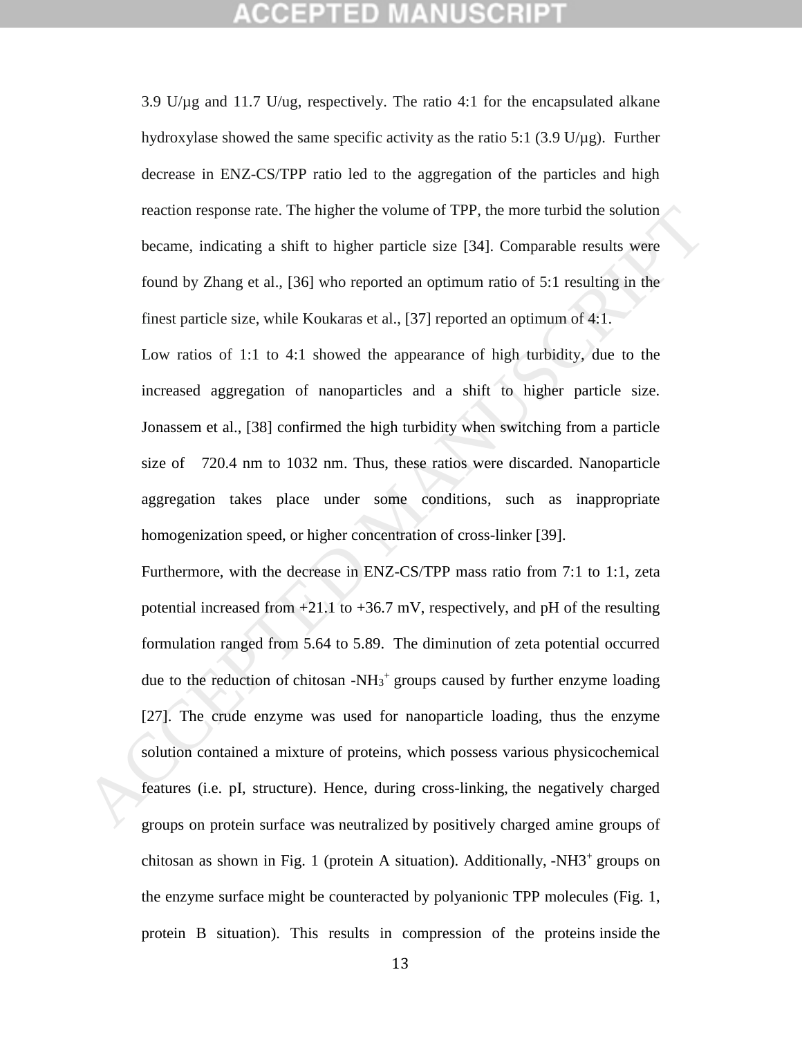## EPTED

3.9 U/ $\mu$ g and 11.7 U/ $\mu$ g, respectively. The ratio 4:1 for the encapsulated alkane hydroxylase showed the same specific activity as the ratio 5:1 (3.9 U/ $\mu$ g). Further decrease in ENZ-CS/TPP ratio led to the aggregation of the particles and high reaction response rate. The higher the volume of TPP, the more turbid the solution became, indicating a shift to higher particle size [34]. Comparable results were found by Zhang et al., [36] who reported an optimum ratio of 5:1 resulting in the finest particle size, while Koukaras et al., [37] reported an optimum of 4:1.

Low ratios of 1:1 to 4:1 showed the appearance of high turbidity, due to the increased aggregation of nanoparticles and a shift to higher particle size. Jonassem et al., [38] confirmed the high turbidity when switching from a particle size of 720.4 nm to 1032 nm. Thus, these ratios were discarded. Nanoparticle aggregation takes place under some conditions, such as inappropriate homogenization speed, or higher concentration of cross-linker [39].

Furthermore, with the decrease in ENZ-CS/TPP mass ratio from 7:1 to 1:1, zeta potential increased from  $+21.1$  to  $+36.7$  mV, respectively, and pH of the resulting formulation ranged from 5.64 to 5.89. The diminution of zeta potential occurred due to the reduction of chitosan -NH<sup>3</sup> + groups caused by further enzyme loading [27]. The crude enzyme was used for nanoparticle loading, thus the enzyme solution contained a mixture of proteins, which possess various physicochemical features (i.e. pI, structure). Hence, during cross-linking, the negatively charged groups on protein surface was neutralized by positively charged amine groups of chitosan as shown in Fig. 1 (protein A situation). Additionally, -NH3<sup>+</sup> groups on the enzyme surface might be counteracted by polyanionic TPP molecules (Fig. 1, protein B situation). This results in compression of the proteins inside the reaction response rate. The higher the volume of TPP, the more turbid the solution<br>became, indicating a shift to higher particle size [34]. Comparable results were<br>found by Zhang et al., [36] who reported an optimum ratio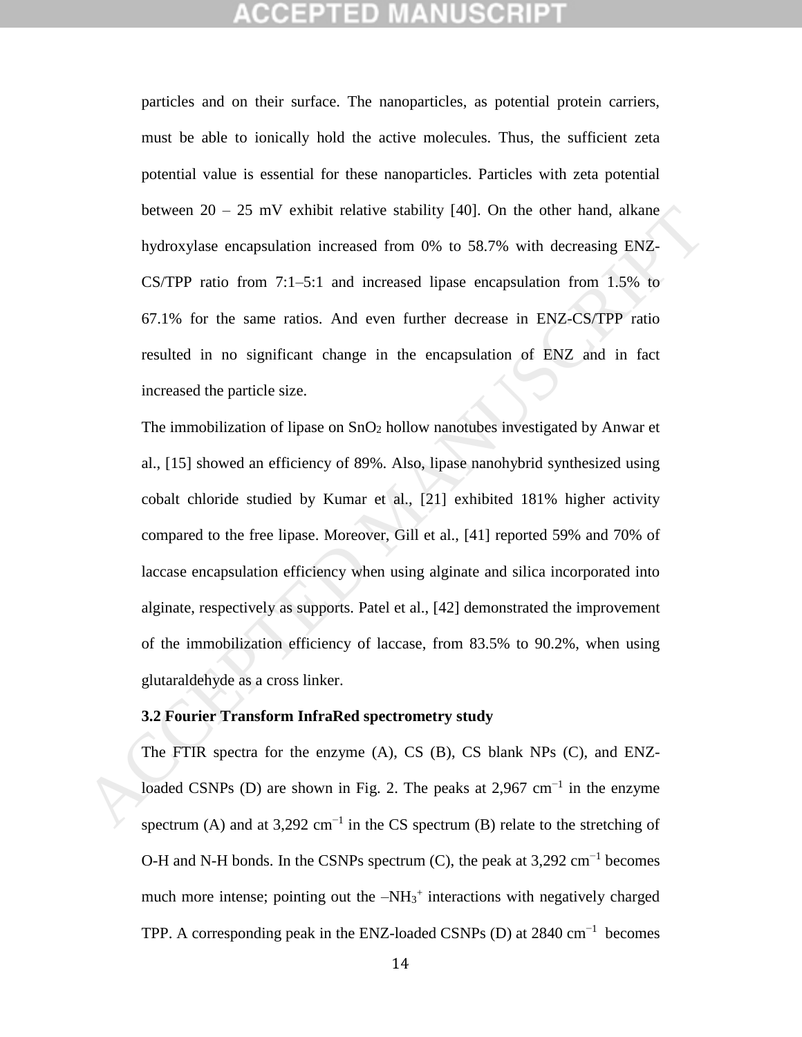particles and on their surface. The nanoparticles, as potential protein carriers, must be able to ionically hold the active molecules. Thus, the sufficient zeta potential value is essential for these nanoparticles. Particles with zeta potential between  $20 - 25$  mV exhibit relative stability [40]. On the other hand, alkane hydroxylase encapsulation increased from 0% to 58.7% with decreasing ENZ-CS/TPP ratio from 7:1–5:1 and increased lipase encapsulation from 1.5% to 67.1% for the same ratios. And even further decrease in ENZ-CS/TPP ratio resulted in no significant change in the encapsulation of ENZ and in fact increased the particle size.

The immobilization of lipase on  $SnO<sub>2</sub>$  hollow nanotubes investigated by Anwar et al., [15] showed an efficiency of 89%. Also, lipase nanohybrid synthesized using cobalt chloride studied by Kumar et al., [21] exhibited 181% higher activity compared to the free lipase. Moreover, Gill et al., [41] reported 59% and 70% of laccase encapsulation efficiency when using alginate and silica incorporated into alginate, respectively as supports. Patel et al., [42] demonstrated the improvement of the immobilization efficiency of laccase, from 83.5% to 90.2%, when using glutaraldehyde as a cross linker. between 20 – 25 mV exhibit relative stability [40]. On the other hand, alkane<br>hydroxylase encapsulation increased from 0% to 58.7% with decreasing ENZ-<br>CS/TPP ratio from 7:1-5:1 and increased lipase encapsulation from 1.5

### **3.2 Fourier Transform InfraRed spectrometry study**

The FTIR spectra for the enzyme (A), CS (B), CS blank NPs (C), and ENZloaded CSNPs (D) are shown in Fig. 2. The peaks at 2,967 cm<sup>-1</sup> in the enzyme spectrum (A) and at 3,292 cm<sup>-1</sup> in the CS spectrum (B) relate to the stretching of O-H and N-H bonds. In the CSNPs spectrum  $(C)$ , the peak at 3,292 cm<sup>-1</sup> becomes much more intense; pointing out the  $-NH_3$ <sup>+</sup> interactions with negatively charged TPP. A corresponding peak in the ENZ-loaded CSNPs (D) at  $2840 \text{ cm}^{-1}$  becomes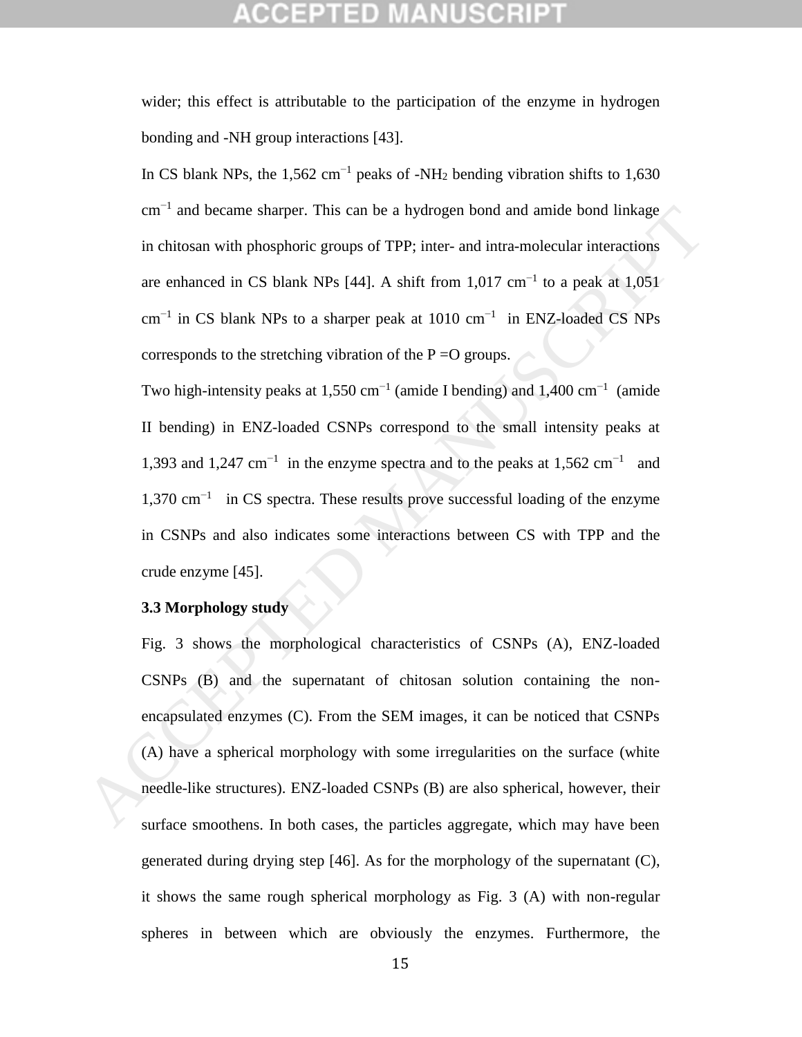wider; this effect is attributable to the participation of the enzyme in hydrogen bonding and -NH group interactions [43].

In CS blank NPs, the 1,562 cm<sup>-1</sup> peaks of -NH<sub>2</sub> bending vibration shifts to 1,630 cm<sup>-1</sup> and became sharper. This can be a hydrogen bond and amide bond linkage in chitosan with phosphoric groups of TPP; inter- and intra-molecular interactions are enhanced in CS blank NPs [44]. A shift from  $1,017$  cm<sup>-1</sup> to a peak at  $1,051$ cm<sup>-1</sup> in CS blank NPs to a sharper peak at 1010 cm<sup>-1</sup> in ENZ-loaded CS NPs corresponds to the stretching vibration of the  $P = O$  groups.

Two high-intensity peaks at 1,550 cm<sup>-1</sup> (amide I bending) and 1,400 cm<sup>-1</sup> (amide II bending) in ENZ-loaded CSNPs correspond to the small intensity peaks at 1,393 and 1,247 cm<sup>-1</sup> in the enzyme spectra and to the peaks at 1,562 cm<sup>-1</sup> and 1,370 cm−1 in CS spectra. These results prove successful loading of the enzyme in CSNPs and also indicates some interactions between CS with TPP and the crude enzyme [45]. cm<sup>-1</sup> and became sharper. This can be a hydrogen bond and imide bond linkage<br>in chitosan with phosphoric groups of TPP; inter- and intra-molecular interactions<br>are enhanced in CS blank NPs [44]. A shift from  $1,017$  cm<sup>-</sup>

### **3.3 Morphology study**

Fig. 3 shows the morphological characteristics of CSNPs (A), ENZ-loaded CSNPs (B) and the supernatant of chitosan solution containing the nonencapsulated enzymes (C). From the SEM images, it can be noticed that CSNPs (A) have a spherical morphology with some irregularities on the surface (white needle-like structures). ENZ-loaded CSNPs (B) are also spherical, however, their surface smoothens. In both cases, the particles aggregate, which may have been generated during drying step [46]. As for the morphology of the supernatant (C), it shows the same rough spherical morphology as Fig. 3 (A) with non-regular spheres in between which are obviously the enzymes. Furthermore, the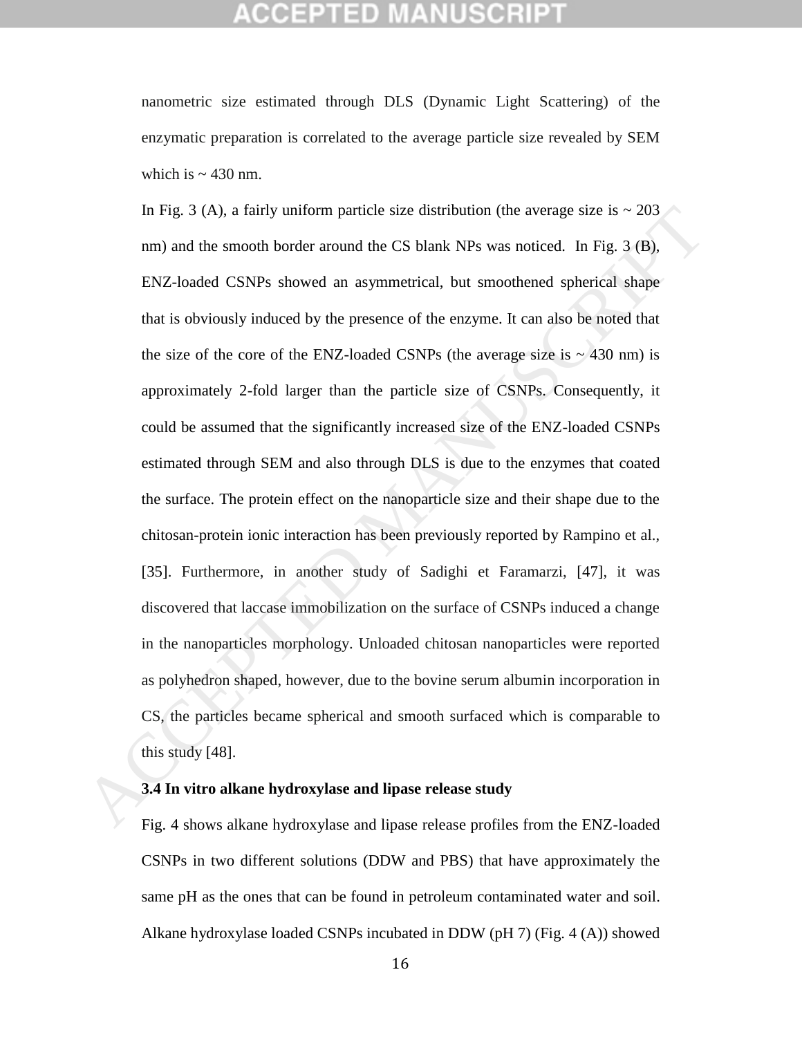## TED

nanometric size estimated through DLS (Dynamic Light Scattering) of the enzymatic preparation is correlated to the average particle size revealed by SEM which is  $\sim$  430 nm.

In Fig. 3 (A), a fairly uniform particle size distribution (the average size is  $\sim$  203 nm) and the smooth border around the CS blank NPs was noticed. In Fig. 3 (B), ENZ-loaded CSNPs showed an asymmetrical, but smoothened spherical shape that is obviously induced by the presence of the enzyme. It can also be noted that the size of the core of the ENZ-loaded CSNPs (the average size is  $\sim$  430 nm) is approximately 2-fold larger than the particle size of CSNPs. Consequently, it could be assumed that the significantly increased size of the ENZ-loaded CSNPs estimated through SEM and also through DLS is due to the enzymes that coated the surface. The protein effect on the nanoparticle size and their shape due to the chitosan-protein ionic interaction has been previously reported by Rampino et al., [35]. Furthermore, in another study of Sadighi et Faramarzi, [47], it was discovered that laccase immobilization on the surface of CSNPs induced a change in the nanoparticles morphology. Unloaded chitosan nanoparticles were reported as polyhedron shaped, however, due to the bovine serum albumin incorporation in CS, the particles became spherical and smooth surfaced which is comparable to this study [48]. In Fig. 3 (A), a fairly uniform particle size distribution (the average size is  $\approx$  203<br>nm) and the smooth border around the CS blank NPs was noticed. In Fig. 3 (B),<br>ENZ-loaded CSNPs showed an asymmetrical, but smoothene

### **3.4 In vitro alkane hydroxylase and lipase release study**

Fig. 4 shows alkane hydroxylase and lipase release profiles from the ENZ-loaded CSNPs in two different solutions (DDW and PBS) that have approximately the same pH as the ones that can be found in petroleum contaminated water and soil. Alkane hydroxylase loaded CSNPs incubated in DDW (pH 7) (Fig. 4 (A)) showed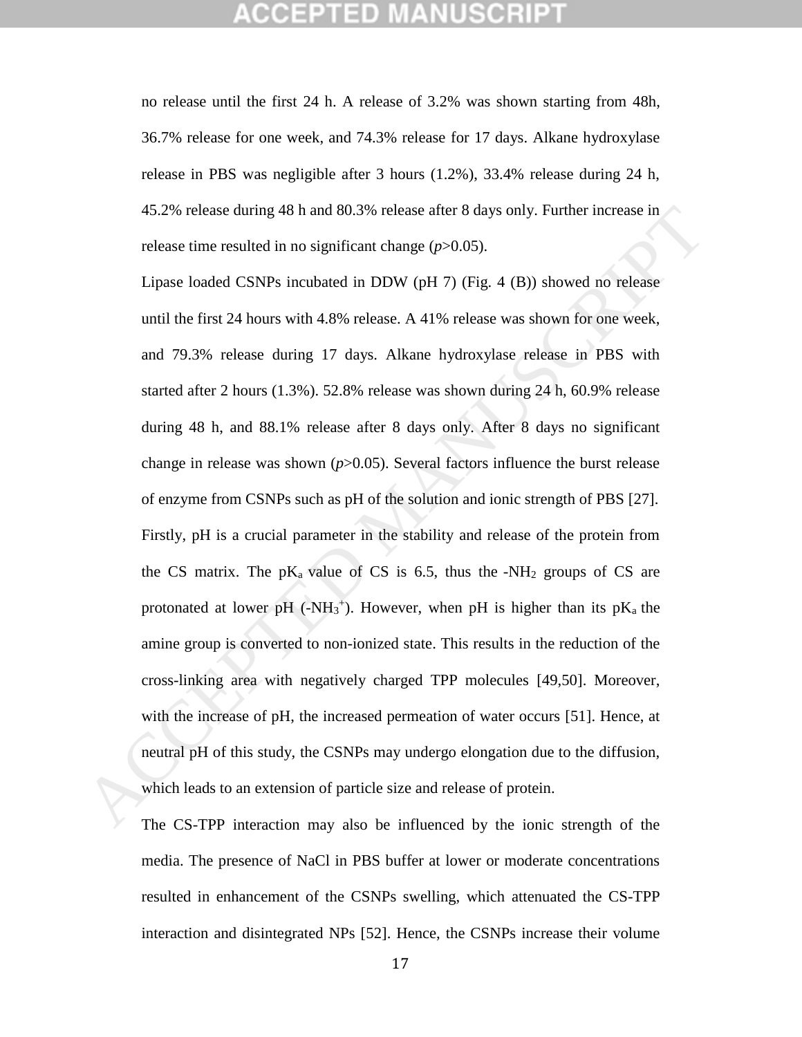no release until the first 24 h. A release of 3.2% was shown starting from 48h, 36.7% release for one week, and 74.3% release for 17 days. Alkane hydroxylase release in PBS was negligible after 3 hours (1.2%), 33.4% release during 24 h, 45.2% release during 48 h and 80.3% release after 8 days only. Further increase in release time resulted in no significant change  $(p>0.05)$ .

Lipase loaded CSNPs incubated in DDW (pH 7) (Fig. 4 (B)) showed no release until the first 24 hours with 4.8% release. A 41% release was shown for one week, and 79.3% release during 17 days. Alkane hydroxylase release in PBS with started after 2 hours (1.3%). 52.8% release was shown during 24 h, 60.9% release during 48 h, and 88.1% release after 8 days only. After 8 days no significant change in release was shown  $(p>0.05)$ . Several factors influence the burst release of enzyme from CSNPs such as pH of the solution and ionic strength of PBS [27]. Firstly, pH is a crucial parameter in the stability and release of the protein from the CS matrix. The  $pK_a$  value of CS is 6.5, thus the -NH<sub>2</sub> groups of CS are protonated at lower pH  $(-NH_3^+)$ . However, when pH is higher than its pK<sub>a</sub> the amine group is converted to non-ionized state. This results in the reduction of the cross-linking area with negatively charged TPP molecules [49,50]. Moreover, with the increase of pH, the increased permeation of water occurs [51]. Hence, at neutral pH of this study, the CSNPs may undergo elongation due to the diffusion, which leads to an extension of particle size and release of protein. 45.2% release during 48 h and 80.3% release after 8 days only. Further increase in<br>release time resulted in no significant change ( $p>0.05$ ).<br>Lipase loaded CSNPs incubated in DDW ( $pH 7$ ) (Fig. 4 (H)) showed no release<br>un

The CS-TPP interaction may also be influenced by the ionic strength of the media. The presence of NaCl in PBS buffer at lower or moderate concentrations resulted in enhancement of the CSNPs swelling, which attenuated the CS-TPP interaction and disintegrated NPs [52]. Hence, the CSNPs increase their volume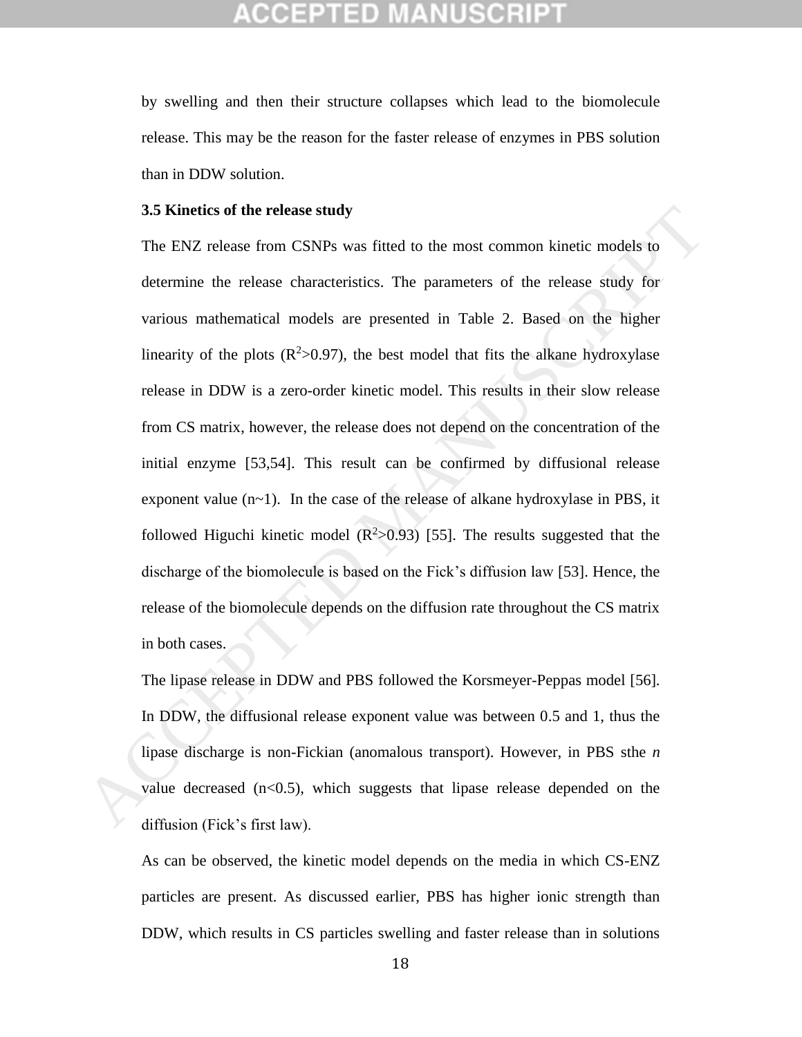by swelling and then their structure collapses which lead to the biomolecule release. This may be the reason for the faster release of enzymes in PBS solution than in DDW solution.

### **3.5 Kinetics of the release study**

The ENZ release from CSNPs was fitted to the most common kinetic models to determine the release characteristics. The parameters of the release study for various mathematical models are presented in Table 2. Based on the higher linearity of the plots  $(R^2>0.97)$ , the best model that fits the alkane hydroxylase release in DDW is a zero-order kinetic model. This results in their slow release from CS matrix, however, the release does not depend on the concentration of the initial enzyme [53,54]. This result can be confirmed by diffusional release exponent value  $(n-1)$ . In the case of the release of alkane hydroxylase in PBS, it followed Higuchi kinetic model  $(R^2>0.93)$  [55]. The results suggested that the discharge of the biomolecule is based on the Fick's diffusion law [53]. Hence, the release of the biomolecule depends on the diffusion rate throughout the CS matrix in both cases. 3.5 Kinetics of the release study<br>The ENZ release from CSNPs was fitted to the most common kinetic models to<br>determine the release characteristics. The parameters of the release sudy for<br>various mathematical models are pr

The lipase release in DDW and PBS followed the Korsmeyer-Peppas model [56]*.* In DDW, the diffusional release exponent value was between 0.5 and 1, thus the lipase discharge is non-Fickian (anomalous transport). However, in PBS sthe *n* value decreased  $(n<0.5)$ , which suggests that lipase release depended on the diffusion (Fick's first law).

As can be observed, the kinetic model depends on the media in which CS-ENZ particles are present. As discussed earlier, PBS has higher ionic strength than DDW, which results in CS particles swelling and faster release than in solutions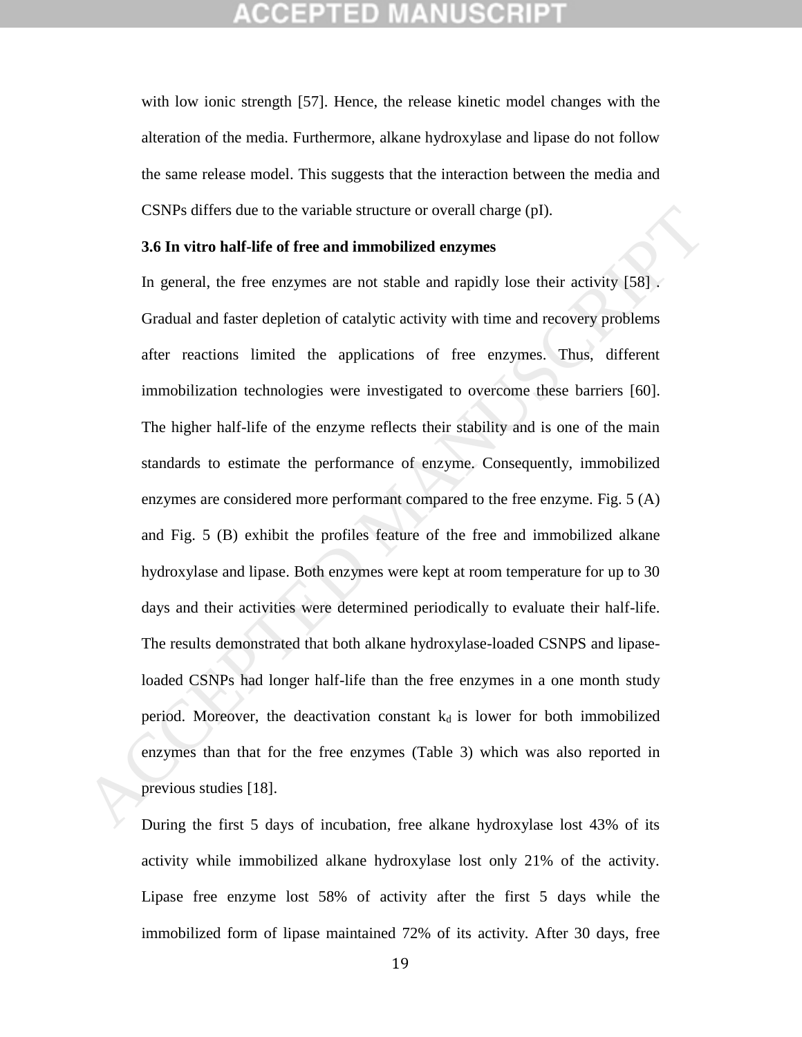with low ionic strength [57]. Hence, the release kinetic model changes with the alteration of the media. Furthermore, alkane hydroxylase and lipase do not follow the same release model. This suggests that the interaction between the media and CSNPs differs due to the variable structure or overall charge (pI).

### **3.6 In vitro half-life of free and immobilized enzymes**

In general, the free enzymes are not stable and rapidly lose their activity [58] . Gradual and faster depletion of catalytic activity with time and recovery problems after reactions limited the applications of free enzymes. Thus, different immobilization technologies were investigated to overcome these barriers [60]. The higher half-life of the enzyme reflects their stability and is one of the main standards to estimate the performance of enzyme. Consequently, immobilized enzymes are considered more performant compared to the free enzyme. Fig. 5 (A) and Fig. 5 (B) exhibit the profiles feature of the free and immobilized alkane hydroxylase and lipase. Both enzymes were kept at room temperature for up to 30 days and their activities were determined periodically to evaluate their half-life. The results demonstrated that both alkane hydroxylase-loaded CSNPS and lipaseloaded CSNPs had longer half-life than the free enzymes in a one month study period. Moreover, the deactivation constant  $k_d$  is lower for both immobilized enzymes than that for the free enzymes (Table 3) which was also reported in previous studies [18]. CSNPs differs due to the variable structure or overall charge (pI).<br> **3.6 In vitro half-life of free and immobilized enzymes**<br>
In general, the free enzymes are not stable and rapidly lose their activity [58].<br>
Gradual and

During the first 5 days of incubation, free alkane hydroxylase lost 43% of its activity while immobilized alkane hydroxylase lost only 21% of the activity. Lipase free enzyme lost 58% of activity after the first 5 days while the immobilized form of lipase maintained 72% of its activity. After 30 days, free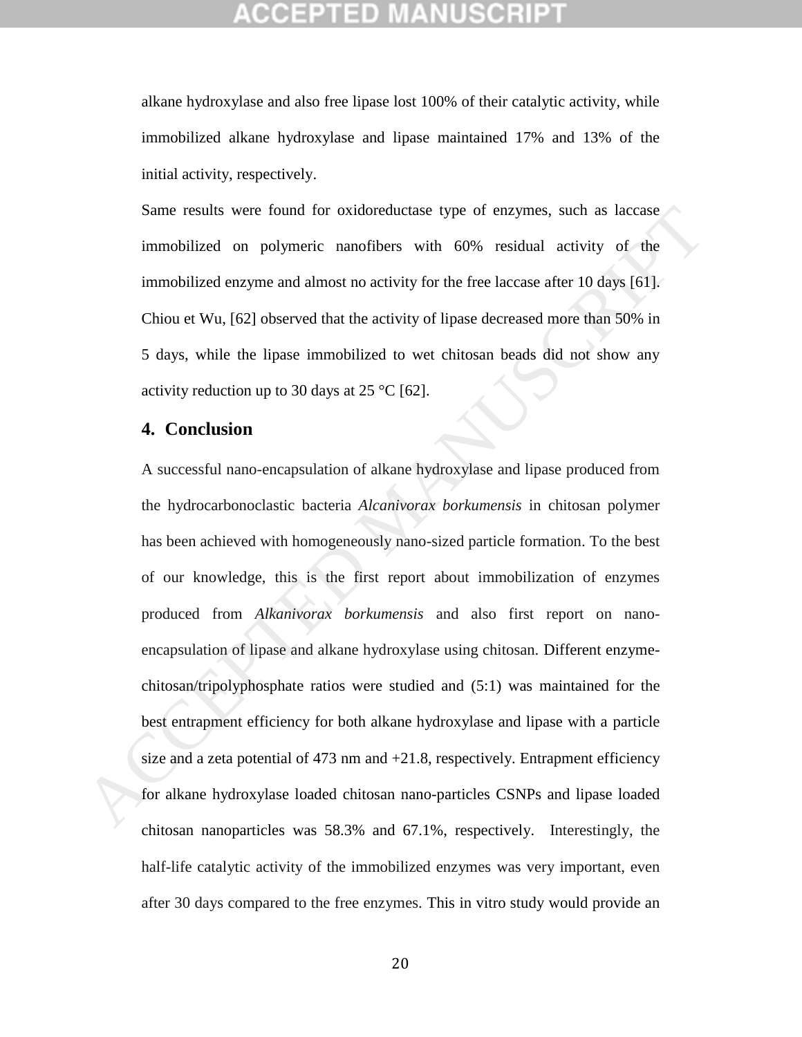alkane hydroxylase and also free lipase lost 100% of their catalytic activity, while immobilized alkane hydroxylase and lipase maintained 17% and 13% of the initial activity, respectively.

Same results were found for oxidoreductase type of enzymes, such as laccase immobilized on polymeric nanofibers with 60% residual activity of the immobilized enzyme and almost no activity for the free laccase after 10 days [61]. Chiou et Wu, [62] observed that the activity of lipase decreased more than 50% in 5 days, while the lipase immobilized to wet chitosan beads did not show any activity reduction up to 30 days at  $25^{\circ}$ C [62].

## **4. Conclusion**

A successful nano-encapsulation of alkane hydroxylase and lipase produced from the hydrocarbonoclastic bacteria *Alcanivorax borkumensis* in chitosan polymer has been achieved with homogeneously nano-sized particle formation. To the best of our knowledge, this is the first report about immobilization of enzymes produced from *Alkanivorax borkumensis* and also first report on nanoencapsulation of lipase and alkane hydroxylase using chitosan. Different enzymechitosan/tripolyphosphate ratios were studied and (5:1) was maintained for the best entrapment efficiency for both alkane hydroxylase and lipase with a particle size and a zeta potential of 473 nm and  $+21.8$ , respectively. Entrapment efficiency for alkane hydroxylase loaded chitosan nano-particles CSNPs and lipase loaded chitosan nanoparticles was 58.3% and 67.1%, respectively. Interestingly, the half-life catalytic activity of the immobilized enzymes was very important, even after 30 days compared to the free enzymes. This in vitro study would provide an Same results were found for oxidoreductase type of enzymes, such as lacease<br>immobilized on polymeric nanofibers with 60% residual activity of the<br>immobilized enzyme and almost no activity for the free lacease after 10 day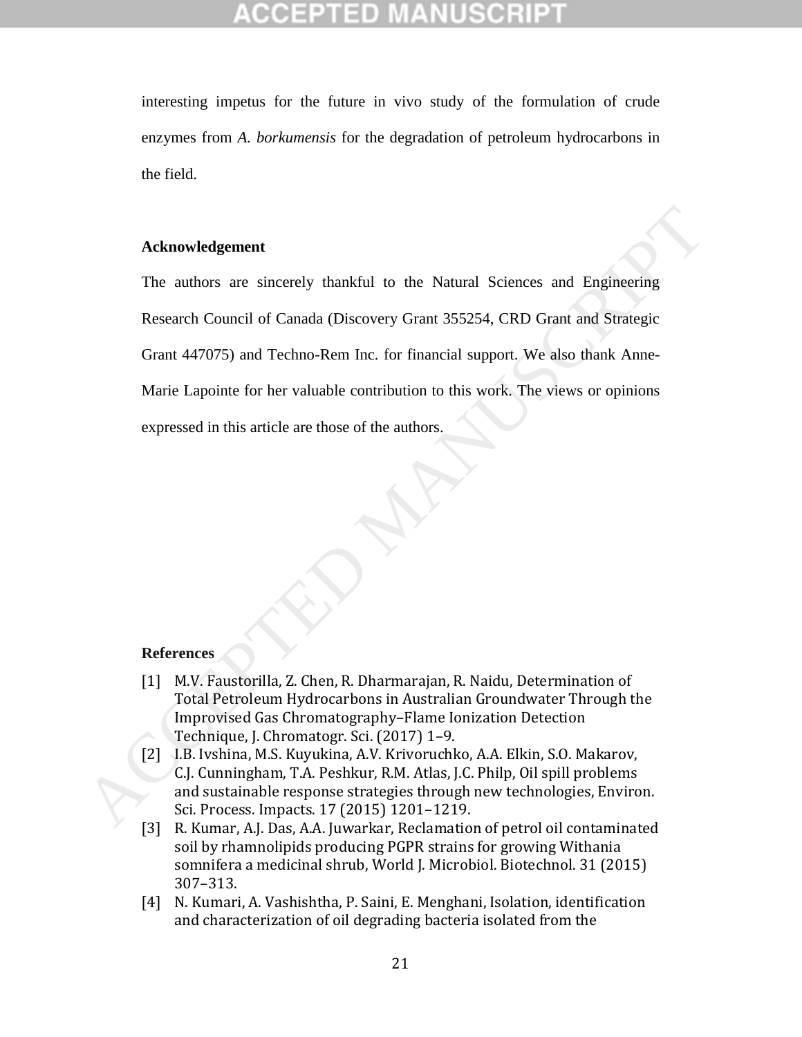interesting impetus for the future in vivo study of the formulation of crude enzymes from *A. borkumensis* for the degradation of petroleum hydrocarbons in the field.

### **Acknowledgement**

The authors are sincerely thankful to the Natural Sciences and Engineering Research Council of Canada (Discovery Grant 355254, CRD Grant and Strategic Grant 447075) and Techno-Rem Inc. for financial support. We also thank Anne-Marie Lapointe for her valuable contribution to this work. The views or opinions expressed in this article are those of the authors. Acknowledgement<br>
The authors are sincerely thankful to the Natural Sciences and Engineering<br>
Research Council of Canada (Discovery Grant 355254, CRD Grant and Strategic<br>
Crant 447075) and Techno-Rem Inc. for financial supp

### **References**

- [1] M.V. Faustorilla, Z. Chen, R. Dharmarajan, R. Naidu, Determination of Total Petroleum Hydrocarbons in Australian Groundwater Through the Improvised Gas Chromatography–Flame Ionization Detection Technique, J. Chromatogr. Sci. (2017) 1–9.
- [2] I.B. Ivshina, M.S. Kuyukina, A.V. Krivoruchko, A.A. Elkin, S.O. Makarov, C.J. Cunningham, T.A. Peshkur, R.M. Atlas, J.C. Philp, Oil spill problems and sustainable response strategies through new technologies, Environ. Sci. Process. Impacts. 17 (2015) 1201–1219.
- [3] R. Kumar, A.J. Das, A.A. Juwarkar, Reclamation of petrol oil contaminated soil by rhamnolipids producing PGPR strains for growing Withania somnifera a medicinal shrub, World J. Microbiol. Biotechnol. 31 (2015) 307–313.
- [4] N. Kumari, A. Vashishtha, P. Saini, E. Menghani, Isolation, identification and characterization of oil degrading bacteria isolated from the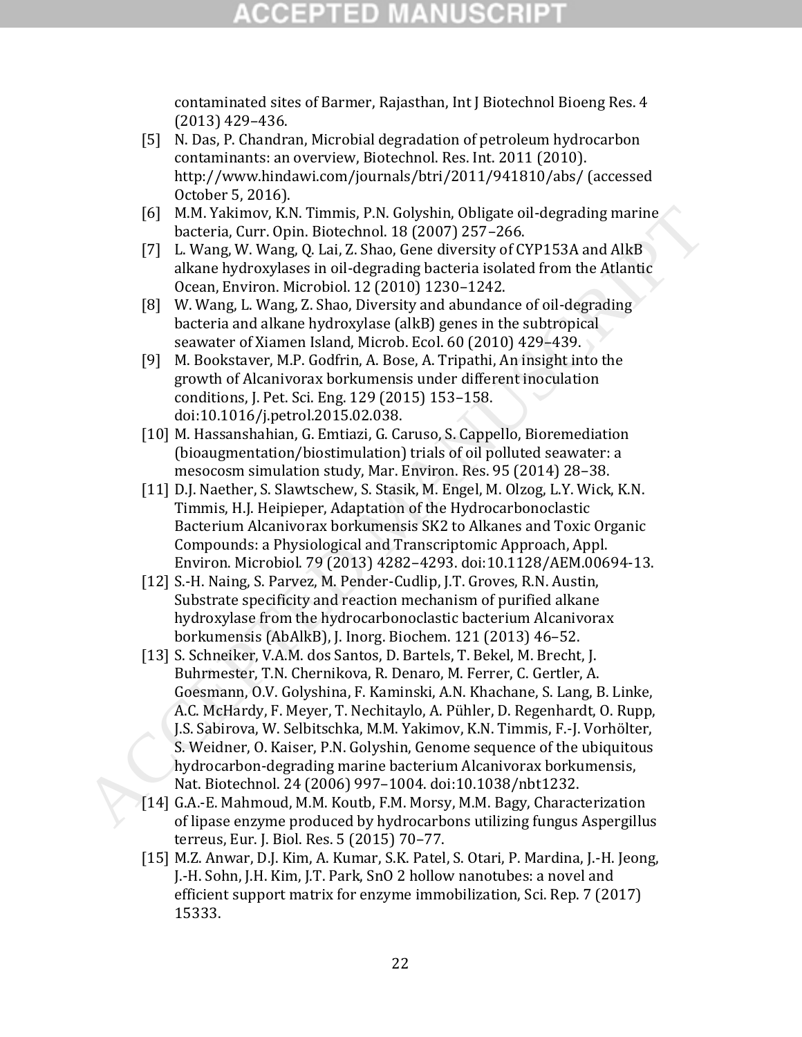contaminated sites of Barmer, Rajasthan, Int J Biotechnol Bioeng Res. 4 (2013) 429–436.

- [5] N. Das, P. Chandran, Microbial degradation of petroleum hydrocarbon contaminants: an overview, Biotechnol. Res. Int. 2011 (2010). http://www.hindawi.com/journals/btri/2011/941810/abs/ (accessed October 5, 2016).
- [6] M.M. Yakimov, K.N. Timmis, P.N. Golyshin, Obligate oil-degrading marine bacteria, Curr. Opin. Biotechnol. 18 (2007) 257–266.
- [7] L. Wang, W. Wang, Q. Lai, Z. Shao, Gene diversity of CYP153A and AlkB alkane hydroxylases in oil-degrading bacteria isolated from the Atlantic Ocean, Environ. Microbiol. 12 (2010) 1230–1242.
- [8] W. Wang, L. Wang, Z. Shao, Diversity and abundance of oil-degrading bacteria and alkane hydroxylase (alkB) genes in the subtropical seawater of Xiamen Island, Microb. Ecol. 60 (2010) 429–439.
- [9] M. Bookstaver, M.P. Godfrin, A. Bose, A. Tripathi, An insight into the growth of Alcanivorax borkumensis under different inoculation conditions, J. Pet. Sci. Eng. 129 (2015) 153–158. doi:10.1016/j.petrol.2015.02.038.
- [10] M. Hassanshahian, G. Emtiazi, G. Caruso, S. Cappello, Bioremediation (bioaugmentation/biostimulation) trials of oil polluted seawater: a mesocosm simulation study, Mar. Environ. Res. 95 (2014) 28–38.
- [11] D.J. Naether, S. Slawtschew, S. Stasik, M. Engel, M. Olzog, L.Y. Wick, K.N. Timmis, H.J. Heipieper, Adaptation of the Hydrocarbonoclastic Bacterium Alcanivorax borkumensis SK2 to Alkanes and Toxic Organic Compounds: a Physiological and Transcriptomic Approach, Appl. Environ. Microbiol. 79 (2013) 4282–4293. doi:10.1128/AEM.00694-13.
- [12] S.-H. Naing, S. Parvez, M. Pender-Cudlip, J.T. Groves, R.N. Austin, Substrate specificity and reaction mechanism of purified alkane hydroxylase from the hydrocarbonoclastic bacterium Alcanivorax borkumensis (AbAlkB), J. Inorg. Biochem. 121 (2013) 46–52.
- [13] S. Schneiker, V.A.M. dos Santos, D. Bartels, T. Bekel, M. Brecht, J. Buhrmester, T.N. Chernikova, R. Denaro, M. Ferrer, C. Gertler, A. Goesmann, O.V. Golyshina, F. Kaminski, A.N. Khachane, S. Lang, B. Linke, A.C. McHardy, F. Meyer, T. Nechitaylo, A. Pühler, D. Regenhardt, O. Rupp, J.S. Sabirova, W. Selbitschka, M.M. Yakimov, K.N. Timmis, F.-J. Vorhölter, S. Weidner, O. Kaiser, P.N. Golyshin, Genome sequence of the ubiquitous hydrocarbon-degrading marine bacterium Alcanivorax borkumensis, Nat. Biotechnol. 24 (2006) 997–1004. doi:10.1038/nbt1232. 16 MM Yakimov, KN. Timunis, P.N. Golyshin, Obligate 0il-degrading marine biaterial, Cury, Dim Biotechnol. 18 (2007) 257–266.<br>
[7] L. Wang, W. Wang, Q. Lai, Z. Shao, Gene diversity of CYP153A and AlkB<br>
calcane hydroxylases
	- [14] G.A.-E. Mahmoud, M.M. Koutb, F.M. Morsy, M.M. Bagy, Characterization of lipase enzyme produced by hydrocarbons utilizing fungus Aspergillus terreus, Eur. J. Biol. Res. 5 (2015) 70–77.
	- [15] M.Z. Anwar, D.J. Kim, A. Kumar, S.K. Patel, S. Otari, P. Mardina, J.-H. Jeong, J.-H. Sohn, J.H. Kim, J.T. Park, SnO 2 hollow nanotubes: a novel and efficient support matrix for enzyme immobilization, Sci. Rep. 7 (2017) 15333.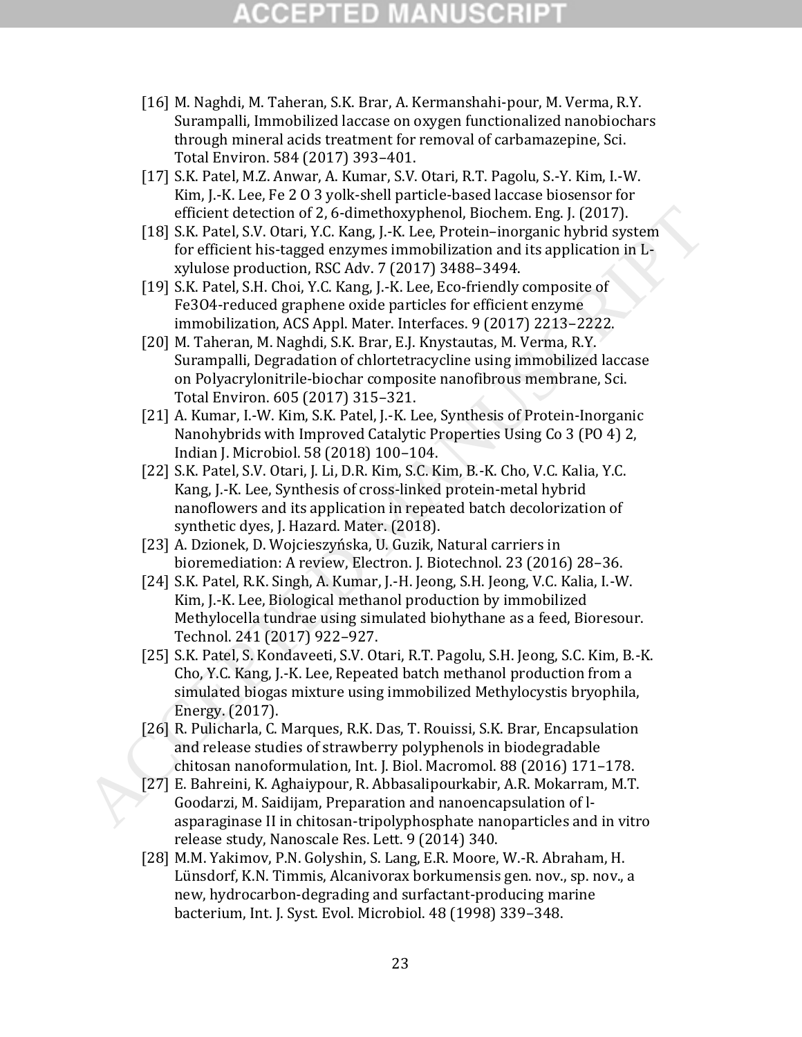# CCEPTED

- [16] M. Naghdi, M. Taheran, S.K. Brar, A. Kermanshahi-pour, M. Verma, R.Y. Surampalli, Immobilized laccase on oxygen functionalized nanobiochars through mineral acids treatment for removal of carbamazepine, Sci. Total Environ. 584 (2017) 393–401.
- [17] S.K. Patel, M.Z. Anwar, A. Kumar, S.V. Otari, R.T. Pagolu, S.-Y. Kim, I.-W. Kim, J.-K. Lee, Fe 2 O 3 yolk-shell particle-based laccase biosensor for efficient detection of 2, 6-dimethoxyphenol, Biochem. Eng. J. (2017).
- [18] S.K. Patel, S.V. Otari, Y.C. Kang, J.-K. Lee, Protein–inorganic hybrid system for efficient his-tagged enzymes immobilization and its application in Lxylulose production, RSC Adv. 7 (2017) 3488–3494.
- [19] S.K. Patel, S.H. Choi, Y.C. Kang, J.-K. Lee, Eco-friendly composite of Fe3O4-reduced graphene oxide particles for efficient enzyme immobilization, ACS Appl. Mater. Interfaces. 9 (2017) 2213–2222.
- [20] M. Taheran, M. Naghdi, S.K. Brar, E.J. Knystautas, M. Verma, R.Y. Surampalli, Degradation of chlortetracycline using immobilized laccase on Polyacrylonitrile-biochar composite nanofibrous membrane, Sci. Total Environ. 605 (2017) 315–321.
- [21] A. Kumar, I.-W. Kim, S.K. Patel, J.-K. Lee, Synthesis of Protein-Inorganic Nanohybrids with Improved Catalytic Properties Using Co 3 (PO 4) 2, Indian J. Microbiol. 58 (2018) 100–104.
- [22] S.K. Patel, S.V. Otari, J. Li, D.R. Kim, S.C. Kim, B.-K. Cho, V.C. Kalia, Y.C. Kang, J.-K. Lee, Synthesis of cross-linked protein-metal hybrid nanoflowers and its application in repeated batch decolorization of synthetic dyes, J. Hazard. Mater. (2018).
- [23] A. Dzionek, D. Wojcieszyńska, U. Guzik, Natural carriers in bioremediation: A review, Electron. J. Biotechnol. 23 (2016) 28–36.
- [24] S.K. Patel, R.K. Singh, A. Kumar, J.-H. Jeong, S.H. Jeong, V.C. Kalia, I.-W. Kim, J.-K. Lee, Biological methanol production by immobilized Methylocella tundrae using simulated biohythane as a feed, Bioresour. Technol. 241 (2017) 922–927.
- [25] S.K. Patel, S. Kondaveeti, S.V. Otari, R.T. Pagolu, S.H. Jeong, S.C. Kim, B.-K. Cho, Y.C. Kang, J.-K. Lee, Repeated batch methanol production from a simulated biogas mixture using immobilized Methylocystis bryophila, Energy. (2017). efficient detection of 2, 6-dimethoxyphenol, Bicehm. Eng. (12017).<br>
[18] S.K. Patel, S.V. Ottari, Y.C. Kang. J.-K. Lee, Protein-inorganic hybrid system<br>
for officient his-tagged enzymes immobilization and its application
	- [26] R. Pulicharla, C. Marques, R.K. Das, T. Rouissi, S.K. Brar, Encapsulation and release studies of strawberry polyphenols in biodegradable chitosan nanoformulation, Int. J. Biol. Macromol. 88 (2016) 171–178.
	- [27] E. Bahreini, K. Aghaiypour, R. Abbasalipourkabir, A.R. Mokarram, M.T. Goodarzi, M. Saidijam, Preparation and nanoencapsulation of lasparaginase II in chitosan-tripolyphosphate nanoparticles and in vitro release study, Nanoscale Res. Lett. 9 (2014) 340.
	- [28] M.M. Yakimov, P.N. Golyshin, S. Lang, E.R. Moore, W.-R. Abraham, H. Lünsdorf, K.N. Timmis, Alcanivorax borkumensis gen. nov., sp. nov., a new, hydrocarbon-degrading and surfactant-producing marine bacterium, Int. J. Syst. Evol. Microbiol. 48 (1998) 339–348.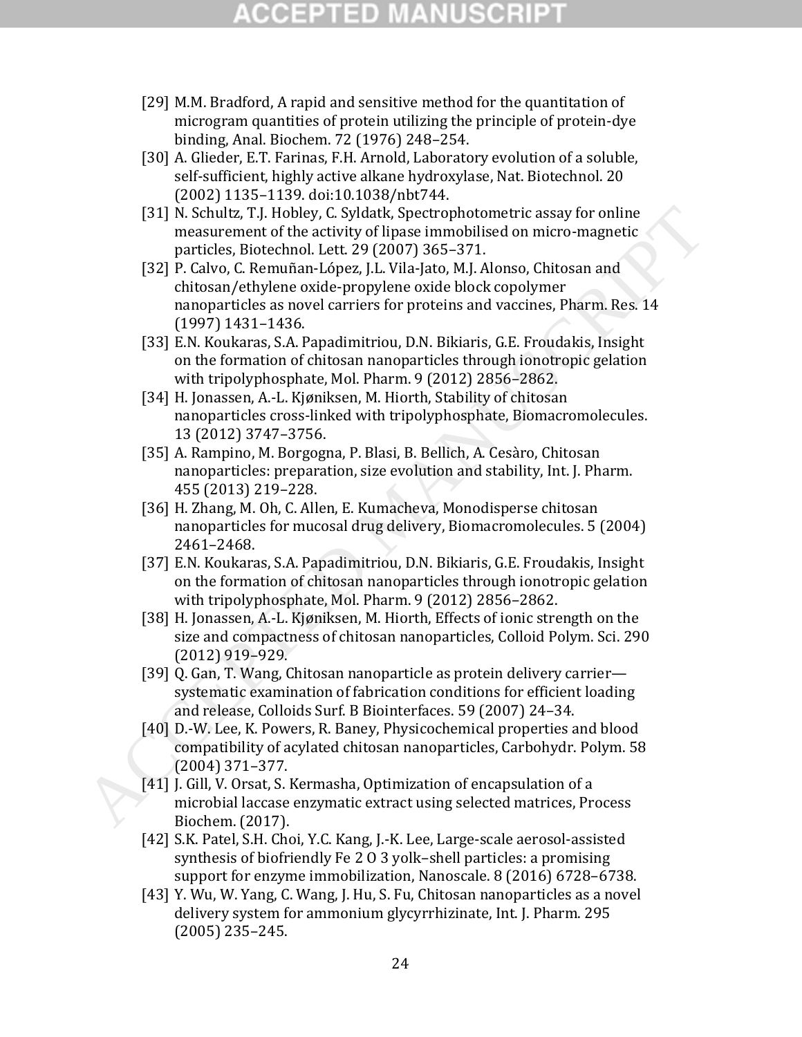# CEPTED

- [29] M.M. Bradford, A rapid and sensitive method for the quantitation of microgram quantities of protein utilizing the principle of protein-dye binding, Anal. Biochem. 72 (1976) 248–254.
- [30] A. Glieder, E.T. Farinas, F.H. Arnold, Laboratory evolution of a soluble, self-sufficient, highly active alkane hydroxylase, Nat. Biotechnol. 20 (2002) 1135–1139. doi:10.1038/nbt744.
- [31] N. Schultz, T.J. Hobley, C. Syldatk, Spectrophotometric assay for online measurement of the activity of lipase immobilised on micro-magnetic particles, Biotechnol. Lett. 29 (2007) 365–371.
- [32] P. Calvo, C. Remuñan-López, J.L. Vila-Jato, M.J. Alonso, Chitosan and chitosan/ethylene oxide-propylene oxide block copolymer nanoparticles as novel carriers for proteins and vaccines, Pharm. Res. 14 (1997) 1431–1436. [31] N. Schultz, T.J. Holby, C. Syldak, Spectrophotonetic assay for online<br>measurement of the activity of lipase immobilised on micro-magnetic<br>particles, Biotechnol. Lett. 29 (2007) 365–371.<br>
[32] P. Galv.o. C. Remainan-L
	- [33] E.N. Koukaras, S.A. Papadimitriou, D.N. Bikiaris, G.E. Froudakis, Insight on the formation of chitosan nanoparticles through ionotropic gelation with tripolyphosphate, Mol. Pharm. 9 (2012) 2856–2862.
	- [34] H. Jonassen, A.-L. Kjøniksen, M. Hiorth, Stability of chitosan nanoparticles cross-linked with tripolyphosphate, Biomacromolecules. 13 (2012) 3747–3756.
	- [35] A. Rampino, M. Borgogna, P. Blasi, B. Bellich, A. Cesàro, Chitosan nanoparticles: preparation, size evolution and stability, Int. J. Pharm. 455 (2013) 219–228.
	- [36] H. Zhang, M. Oh, C. Allen, E. Kumacheva, Monodisperse chitosan nanoparticles for mucosal drug delivery, Biomacromolecules. 5 (2004) 2461–2468.
	- [37] E.N. Koukaras, S.A. Papadimitriou, D.N. Bikiaris, G.E. Froudakis, Insight on the formation of chitosan nanoparticles through ionotropic gelation with tripolyphosphate, Mol. Pharm. 9 (2012) 2856–2862.
	- [38] H. Jonassen, A.-L. Kjøniksen, M. Hiorth, Effects of ionic strength on the size and compactness of chitosan nanoparticles, Colloid Polym. Sci. 290 (2012) 919–929.
	- [39] Q. Gan, T. Wang, Chitosan nanoparticle as protein delivery carrier systematic examination of fabrication conditions for efficient loading and release, Colloids Surf. B Biointerfaces. 59 (2007) 24–34.
	- [40] D.-W. Lee, K. Powers, R. Baney, Physicochemical properties and blood compatibility of acylated chitosan nanoparticles, Carbohydr. Polym. 58 (2004) 371–377.
	- [41] J. Gill, V. Orsat, S. Kermasha, Optimization of encapsulation of a microbial laccase enzymatic extract using selected matrices, Process Biochem. (2017).
	- [42] S.K. Patel, S.H. Choi, Y.C. Kang, J.-K. Lee, Large-scale aerosol-assisted synthesis of biofriendly Fe 2 O 3 yolk–shell particles: a promising support for enzyme immobilization, Nanoscale. 8 (2016) 6728–6738.
	- [43] Y. Wu, W. Yang, C. Wang, J. Hu, S. Fu, Chitosan nanoparticles as a novel delivery system for ammonium glycyrrhizinate, Int. J. Pharm. 295 (2005) 235–245.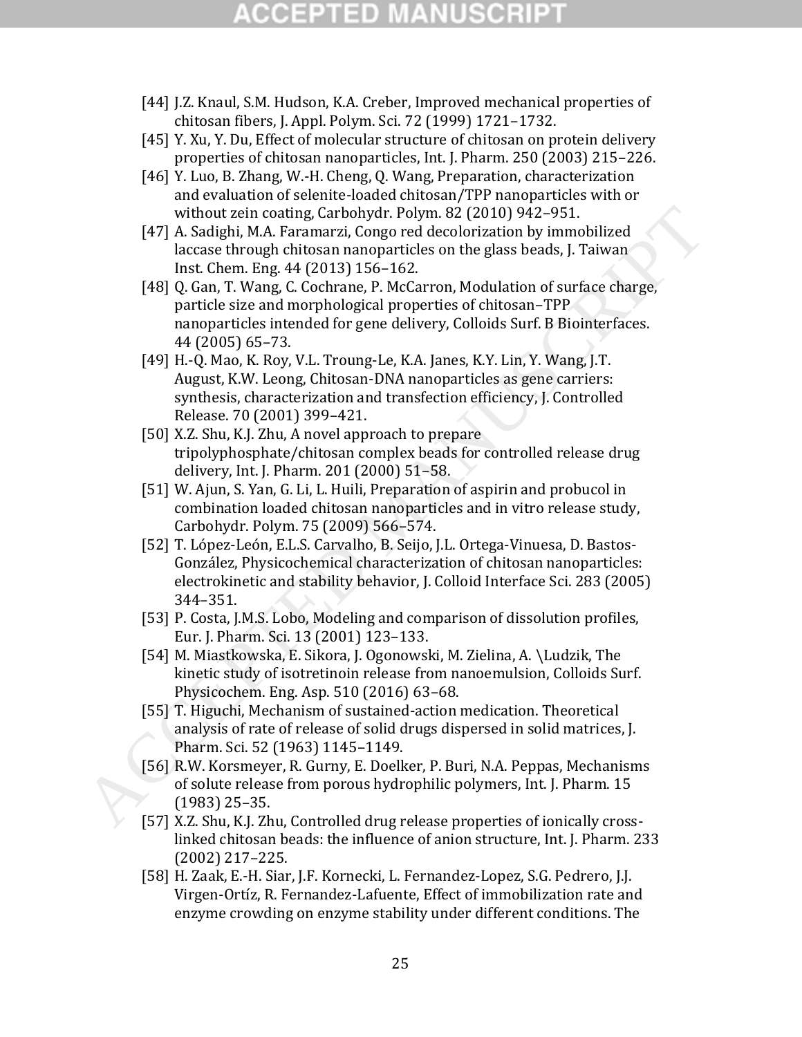# CEPTED

- [44] J.Z. Knaul, S.M. Hudson, K.A. Creber, Improved mechanical properties of chitosan fibers, J. Appl. Polym. Sci. 72 (1999) 1721–1732.
- [45] Y. Xu, Y. Du, Effect of molecular structure of chitosan on protein delivery properties of chitosan nanoparticles, Int. J. Pharm. 250 (2003) 215–226.
- [46] Y. Luo, B. Zhang, W.-H. Cheng, Q. Wang, Preparation, characterization and evaluation of selenite-loaded chitosan/TPP nanoparticles with or without zein coating, Carbohydr. Polym. 82 (2010) 942–951.
- [47] A. Sadighi, M.A. Faramarzi, Congo red decolorization by immobilized laccase through chitosan nanoparticles on the glass beads, J. Taiwan Inst. Chem. Eng. 44 (2013) 156–162.
- [48] Q. Gan, T. Wang, C. Cochrane, P. McCarron, Modulation of surface charge, particle size and morphological properties of chitosan–TPP nanoparticles intended for gene delivery, Colloids Surf. B Biointerfaces. 44 (2005) 65–73. without zein conting, Carology and Supper 32-951.<br>
[47] A. Sadighi, M.A. Faramarzi, Congo red decolorization by immobilized<br>
laccese through chitesan nanoparticles on the glass beads, J. Taiwan<br>
1481 Q. Gan, T. Wang, C. C
	- [49] H.-Q. Mao, K. Roy, V.L. Troung-Le, K.A. Janes, K.Y. Lin, Y. Wang, J.T. August, K.W. Leong, Chitosan-DNA nanoparticles as gene carriers: synthesis, characterization and transfection efficiency, J. Controlled Release. 70 (2001) 399–421.
	- [50] X.Z. Shu, K.J. Zhu, A novel approach to prepare tripolyphosphate/chitosan complex beads for controlled release drug delivery, Int. J. Pharm. 201 (2000) 51–58.
	- [51] W. Ajun, S. Yan, G. Li, L. Huili, Preparation of aspirin and probucol in combination loaded chitosan nanoparticles and in vitro release study, Carbohydr. Polym. 75 (2009) 566–574.
	- [52] T. López-León, E.L.S. Carvalho, B. Seijo, J.L. Ortega-Vinuesa, D. Bastos-González, Physicochemical characterization of chitosan nanoparticles: electrokinetic and stability behavior, J. Colloid Interface Sci. 283 (2005) 344–351.
	- [53] P. Costa, J.M.S. Lobo, Modeling and comparison of dissolution profiles, Eur. J. Pharm. Sci. 13 (2001) 123–133.
	- [54] M. Miastkowska, E. Sikora, J. Ogonowski, M. Zielina, A. \Ludzik, The kinetic study of isotretinoin release from nanoemulsion, Colloids Surf. Physicochem. Eng. Asp. 510 (2016) 63–68.
	- [55] T. Higuchi, Mechanism of sustained-action medication. Theoretical analysis of rate of release of solid drugs dispersed in solid matrices, J. Pharm. Sci. 52 (1963) 1145–1149.
	- [56] R.W. Korsmeyer, R. Gurny, E. Doelker, P. Buri, N.A. Peppas, Mechanisms of solute release from porous hydrophilic polymers, Int. J. Pharm. 15 (1983) 25–35.
	- [57] X.Z. Shu, K.J. Zhu, Controlled drug release properties of ionically crosslinked chitosan beads: the influence of anion structure, Int. J. Pharm. 233 (2002) 217–225.
	- [58] H. Zaak, E.-H. Siar, J.F. Kornecki, L. Fernandez-Lopez, S.G. Pedrero, J.J. Virgen-Ortíz, R. Fernandez-Lafuente, Effect of immobilization rate and enzyme crowding on enzyme stability under different conditions. The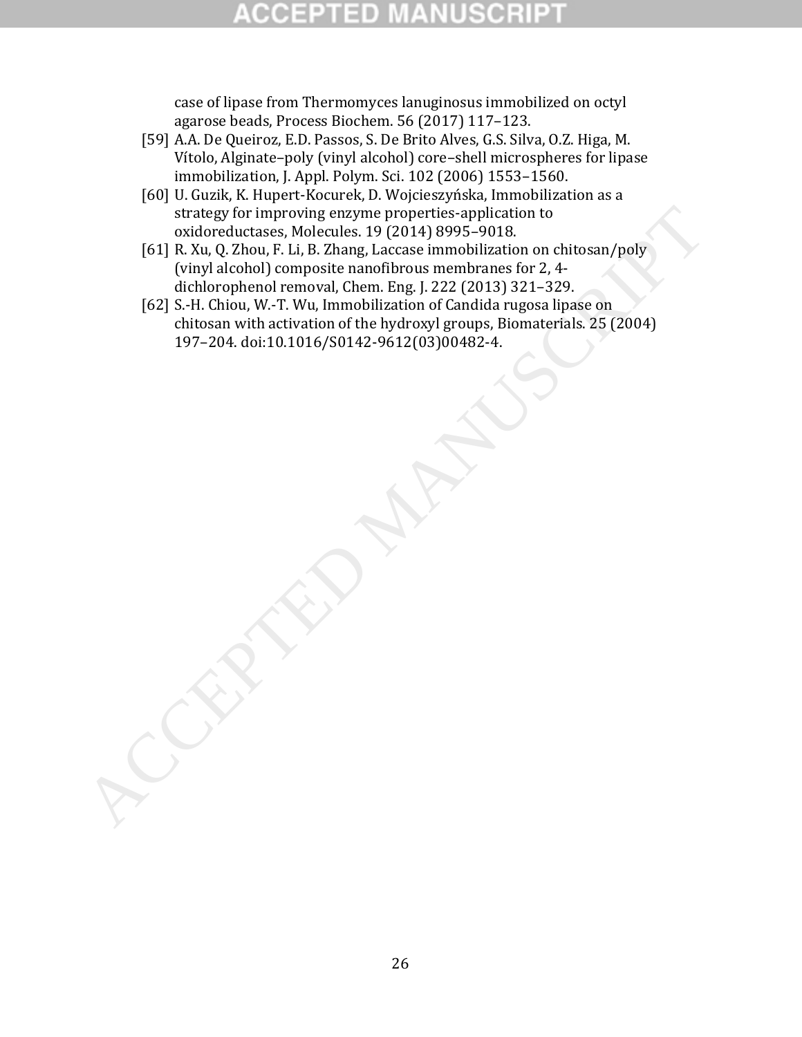case of lipase from Thermomyces lanuginosus immobilized on octyl agarose beads, Process Biochem. 56 (2017) 117–123.

- [59] A.A. De Queiroz, E.D. Passos, S. De Brito Alves, G.S. Silva, O.Z. Higa, M. Vítolo, Alginate–poly (vinyl alcohol) core–shell microspheres for lipase immobilization, J. Appl. Polym. Sci. 102 (2006) 1553–1560.
- [60] U. Guzik, K. Hupert-Kocurek, D. Wojcieszyńska, Immobilization as a strategy for improving enzyme properties-application to oxidoreductases, Molecules. 19 (2014) 8995–9018.
- [61] R. Xu, Q. Zhou, F. Li, B. Zhang, Laccase immobilization on chitosan/poly (vinyl alcohol) composite nanofibrous membranes for 2, 4 dichlorophenol removal, Chem. Eng. J. 222 (2013) 321–329.
- [62] S.-H. Chiou, W.-T. Wu, Immobilization of Candida rugosa lipase on chitosan with activation of the hydroxyl groups, Biomaterials. 25 (2004) strategy for improving enzyme properties application to<br>oxidoreductases, Molecules. 19 (2014) 9995–9018.<br>
[61] R. Xu, Q. Zhou, F. Li, B. Zhang, Lacease immobilization on chitosan/poly<br>
(initial conduction composite nanofil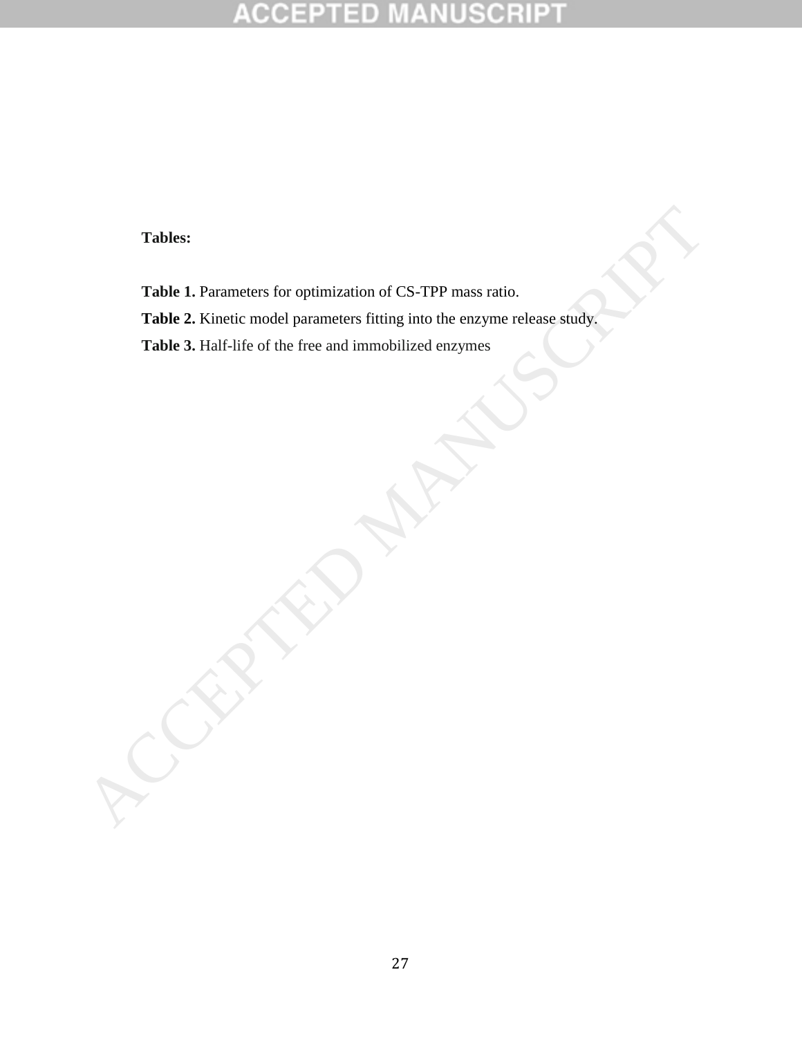### SCRIP **CCEPTED**  $\overline{\mathbb{F}}$

**Tables:**

- **Table 1.** Parameters for optimization of CS-TPP mass ratio.
- **Table 2.** Kinetic model parameters fitting into the enzyme release study. Table 3. Parameters for optimization of CS-TPP mass ratio.<br>
Table 2. Kinetic model parameters fitting into the enzyme release study.<br>
Table 3. Half-life of the free and immobilized enzymes<br>
Table 3. Half-life of the free a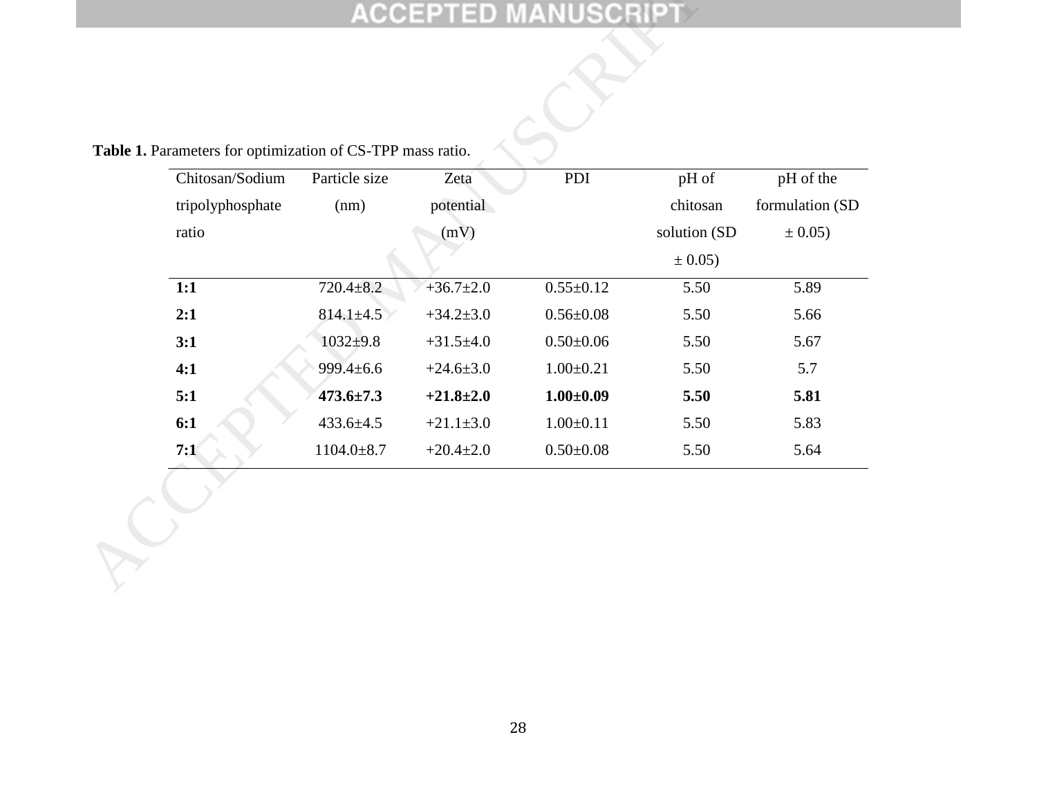**Table 1.** Parameters for optimization of CS-TPP mass ratio.

|                                                            |                  | <b>ACCEPTED MANUSCRIPT</b> |                 |                          |                            |
|------------------------------------------------------------|------------------|----------------------------|-----------------|--------------------------|----------------------------|
| Table 1. Parameters for optimization of CS-TPP mass ratio. |                  |                            |                 |                          |                            |
| Chitosan/Sodium                                            | Particle size    | Zeta                       | PDI             | pH of                    | pH of the                  |
| tripolyphosphate<br>ratio                                  | (nm)             | potential                  |                 | chitosan<br>solution (SD | formulation (SD<br>± 0.05) |
|                                                            |                  | (mV)                       |                 | $\pm$ 0.05)              |                            |
| 1:1                                                        | 720.4±8.2        | $+36.7+2.0$                | $0.55 \pm 0.12$ | 5.50                     | 5.89                       |
| 2:1                                                        | 814.1 $\pm$ 4.5  | $+34.2+3.0$                | $0.56 \pm 0.08$ | 5.50                     | 5.66                       |
| 3:1                                                        | $1032+9.8$       | $+31.5+4.0$                | $0.50 \pm 0.06$ | 5.50                     | 5.67                       |
| 4:1                                                        | 999.4±6.6        | $+24.6 \pm 3.0$            | $1.00 \pm 0.21$ | 5.50                     | 5.7                        |
| 5:1                                                        | $473.6 \pm 7.3$  | $+21.8+2.0$                | $1.00 \pm 0.09$ | 5.50                     | 5.81                       |
| 6:1                                                        | $433.6 \pm 4.5$  | $+21.1 \pm 3.0$            | $1.00 \pm 0.11$ | 5.50                     | 5.83                       |
| 7:1                                                        | $1104.0 \pm 8.7$ | $+20.4+2.0$                | $0.50 \pm 0.08$ | 5.50                     | 5.64                       |
|                                                            |                  |                            |                 |                          |                            |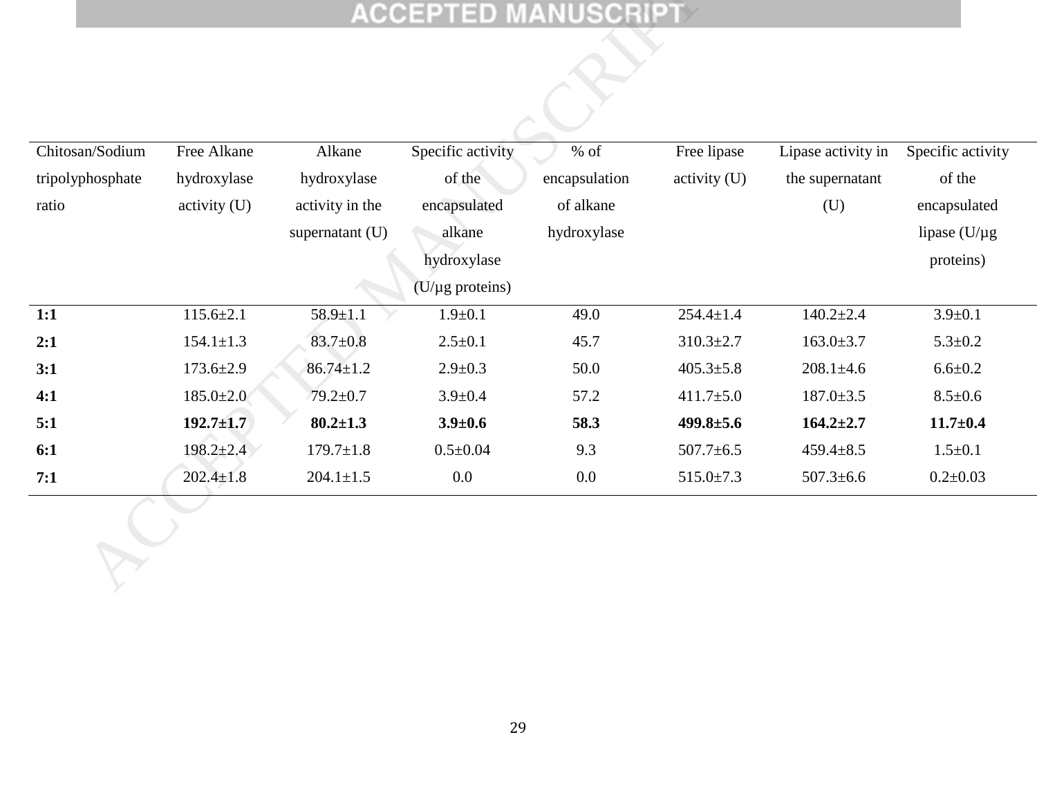| Chitosan/Sodium  | Free Alkane     | Alkane          | Specific activity    | $%$ of        | Free lipase     | Lipase activity in | Specific activity  |
|------------------|-----------------|-----------------|----------------------|---------------|-----------------|--------------------|--------------------|
| tripolyphosphate | hydroxylase     | hydroxylase     | of the               | encapsulation | activity (U)    | the supernatant    | of the             |
| ratio            | activity (U)    | activity in the | encapsulated         | of alkane     |                 | (U)                | encapsulated       |
|                  |                 | supernatant (U) | alkane               | hydroxylase   |                 |                    | lipase $(U/\mu g)$ |
|                  |                 |                 | hydroxylase          |               |                 |                    | proteins)          |
|                  |                 |                 | $(U/\mu g$ proteins) |               |                 |                    |                    |
| 1:1              | $115.6 \pm 2.1$ | $58.9 \pm 1.1$  | $1.9 + 0.1$          | 49.0          | $254.4 \pm 1.4$ | $140.2 \pm 2.4$    | $3.9 \pm 0.1$      |
| 2:1              | $154.1 \pm 1.3$ | $83.7 \pm 0.8$  | $2.5 \pm 0.1$        | 45.7          | $310.3 \pm 2.7$ | $163.0 \pm 3.7$    | $5.3 \pm 0.2$      |
| 3:1              | $173.6 \pm 2.9$ | $86.74 \pm 1.2$ | $2.9 \pm 0.3$        | 50.0          | $405.3 \pm 5.8$ | $208.1 \pm 4.6$    | $6.6 + 0.2$        |
| 4:1              | $185.0 \pm 2.0$ | $79.2 \pm 0.7$  | $3.9 \pm 0.4$        | 57.2          | $411.7 \pm 5.0$ | $187.0 \pm 3.5$    | $8.5 \pm 0.6$      |
| 5:1              | $192.7 \pm 1.7$ | $80.2 \pm 1.3$  | $3.9 \pm 0.6$        | 58.3          | $499.8 \pm 5.6$ | $164.2 \pm 2.7$    | $11.7 + 0.4$       |
| 6:1              | $198.2 \pm 2.4$ | $179.7 \pm 1.8$ | $0.5 \pm 0.04$       | 9.3           | $507.7 \pm 6.5$ | $459.4 \pm 8.5$    | $1.5 \pm 0.1$      |
| 7:1              | $202.4 \pm 1.8$ | $204.1 \pm 1.5$ | $0.0\,$              | 0.0           | $515.0 \pm 7.3$ | $507.3 \pm 6.6$    | $0.2 \pm 0.03$     |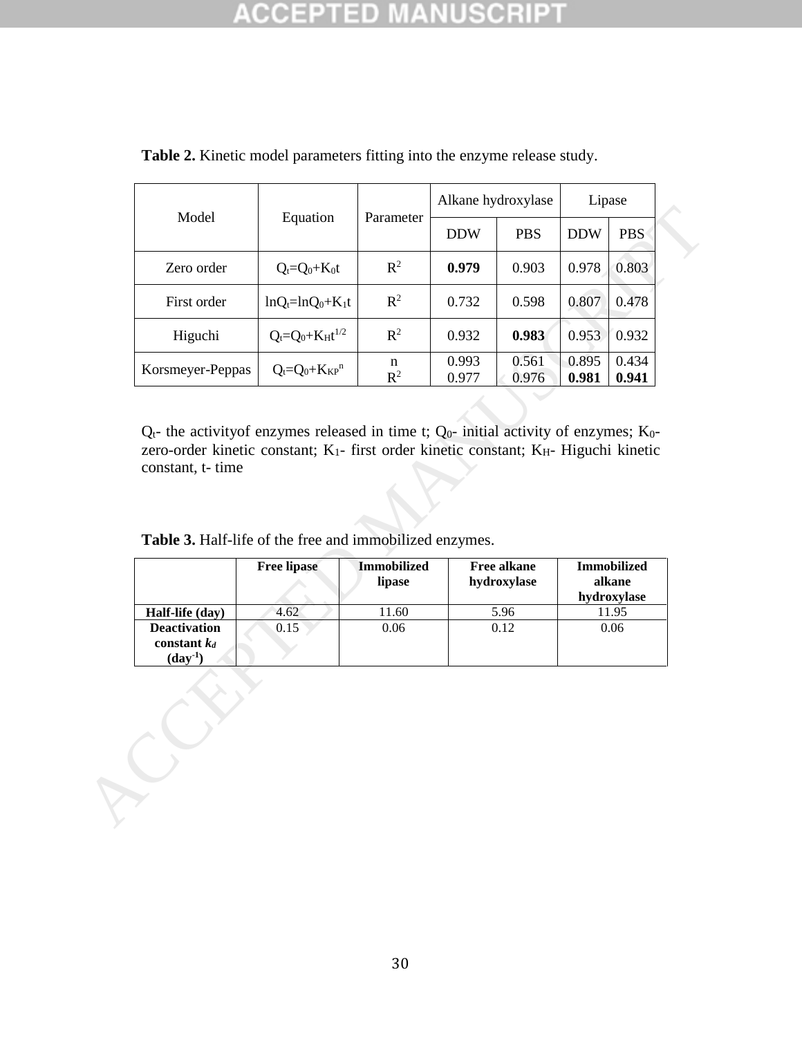### :CR B D

| Model                                                                                                                          | Equation                                                                                                                                                                | Parameter                    |                | Alkane hydroxylase                |                | Lipase                       |  |
|--------------------------------------------------------------------------------------------------------------------------------|-------------------------------------------------------------------------------------------------------------------------------------------------------------------------|------------------------------|----------------|-----------------------------------|----------------|------------------------------|--|
|                                                                                                                                |                                                                                                                                                                         |                              | <b>DDW</b>     | <b>PBS</b>                        | <b>DDW</b>     | <b>PBS</b>                   |  |
| Zero order                                                                                                                     | $Q_t = Q_0 + K_0 t$                                                                                                                                                     | $\mathbb{R}^2$               | 0.979          | 0.903                             | 0.978          | 0.803                        |  |
| First order                                                                                                                    | $lnQ_t=lnQ_0+K_1t$                                                                                                                                                      | $\mathbb{R}^2$               | 0.732          | 0.598                             | 0.807          | 0.478                        |  |
| Higuchi                                                                                                                        | $Q_t = Q_0 + K_H t^{1/2}$                                                                                                                                               | $\mathbb{R}^2$               | 0.932          | 0.983                             | 0.953          | 0.932                        |  |
| Korsmeyer-Peppas                                                                                                               | $Q_t = Q_0 + K_{KP}^n$                                                                                                                                                  | $\mathbf n$<br>$R^2$         | 0.993<br>0.977 | 0.561<br>0.976                    | 0.895<br>0.981 | 0.434<br>0.941               |  |
| $Q_t$ - the activity of enzymes released in time t; $Q_0$ - initial activity of enzymes; K <sub>0</sub> -<br>constant, t- time | zero-order kinetic constant; K <sub>1</sub> - first order kinetic constant; K <sub>H</sub> - Higuchi kinetic<br>Table 3. Half-life of the free and immobilized enzymes. |                              |                |                                   |                |                              |  |
|                                                                                                                                | <b>Free lipase</b>                                                                                                                                                      | <b>Immobilized</b><br>lipase |                | <b>Free alkane</b><br>hydroxylase |                | <b>Immobilized</b><br>alkane |  |
|                                                                                                                                |                                                                                                                                                                         |                              |                |                                   |                | hydroxylase                  |  |
| Half-life (day)<br><b>Deactivation</b><br>constant $k_d$<br>$(\mathbf{day}^{-1})$                                              | 4.62<br>0.15                                                                                                                                                            | 11.60<br>0.06                |                | 5.96<br>0.12                      |                | 11.95<br>0.06                |  |

**Table 2.** Kinetic model parameters fitting into the enzyme release study.

|  |  | <b>Table 3.</b> Half-life of the free and immobilized enzymes. |  |
|--|--|----------------------------------------------------------------|--|
|--|--|----------------------------------------------------------------|--|

|                                | <b>Free lipase</b> | <b>Immobilized</b><br>lipase | <b>Free alkane</b><br>hydroxylase | <b>Immobilized</b><br>alkane<br>hydroxylase |
|--------------------------------|--------------------|------------------------------|-----------------------------------|---------------------------------------------|
| Half-life (day)                | 4.62               | 11.60                        | 5.96                              | 11.95                                       |
| <b>Deactivation</b>            | 0.15               | 0.06                         | 0.12                              | 0.06                                        |
| constant $k_d$<br>$(day^{-1})$ |                    |                              |                                   |                                             |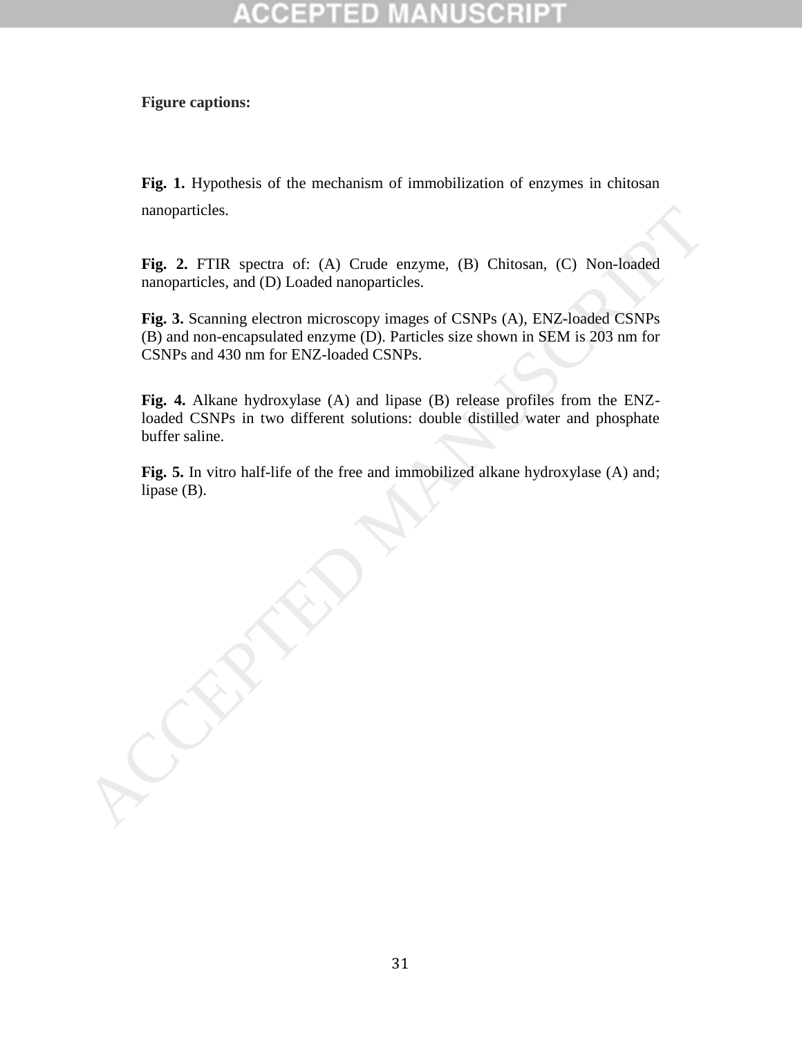## **Figure captions:**

**Fig. 1.** Hypothesis of the mechanism of immobilization of enzymes in chitosan nanoparticles.

**Fig. 2.** FTIR spectra of: (A) Crude enzyme, (B) Chitosan, (C) Non-loaded nanoparticles, and (D) Loaded nanoparticles.

**Fig. 3.** Scanning electron microscopy images of CSNPs (A), ENZ-loaded CSNPs (B) and non-encapsulated enzyme (D). Particles size shown in SEM is 203 nm for CSNPs and 430 nm for ENZ-loaded CSNPs.

**Fig. 4.** Alkane hydroxylase (A) and lipase (B) release profiles from the ENZloaded CSNPs in two different solutions: double distilled water and phosphate buffer saline. manoparticles.<br> **Fig. 2.** ITTR spectra of: (A) Crude enzyme, (B) Chitosan, (C) Non-loaded<br>
nanoparticles, and (D) Loaded nanoparticles.<br> **Fig. 3.** Scunning electron microscopy images of CSNPs (A). ENZ-loaded CSNPs<br>
(B) an

**Fig. 5.** In vitro half-life of the free and immobilized alkane hydroxylase (A) and;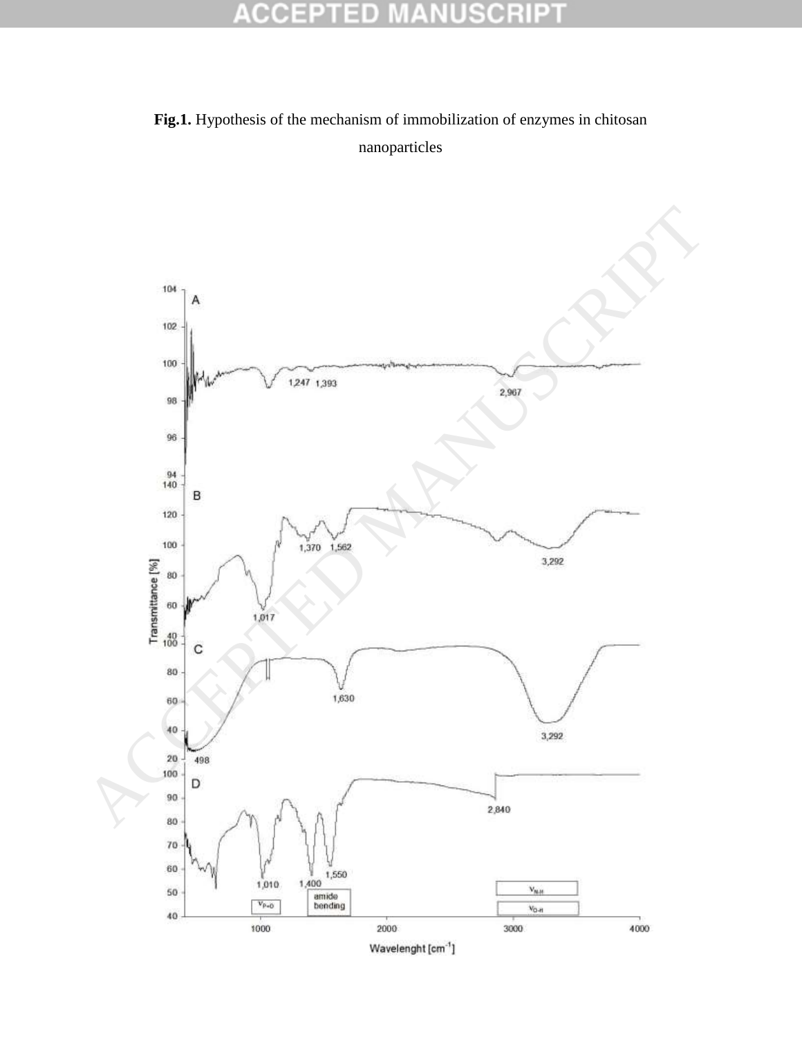### CC CRIP<sup>-</sup> A D D

**Fig.1.** Hypothesis of the mechanism of immobilization of enzymes in chitosan nanoparticles

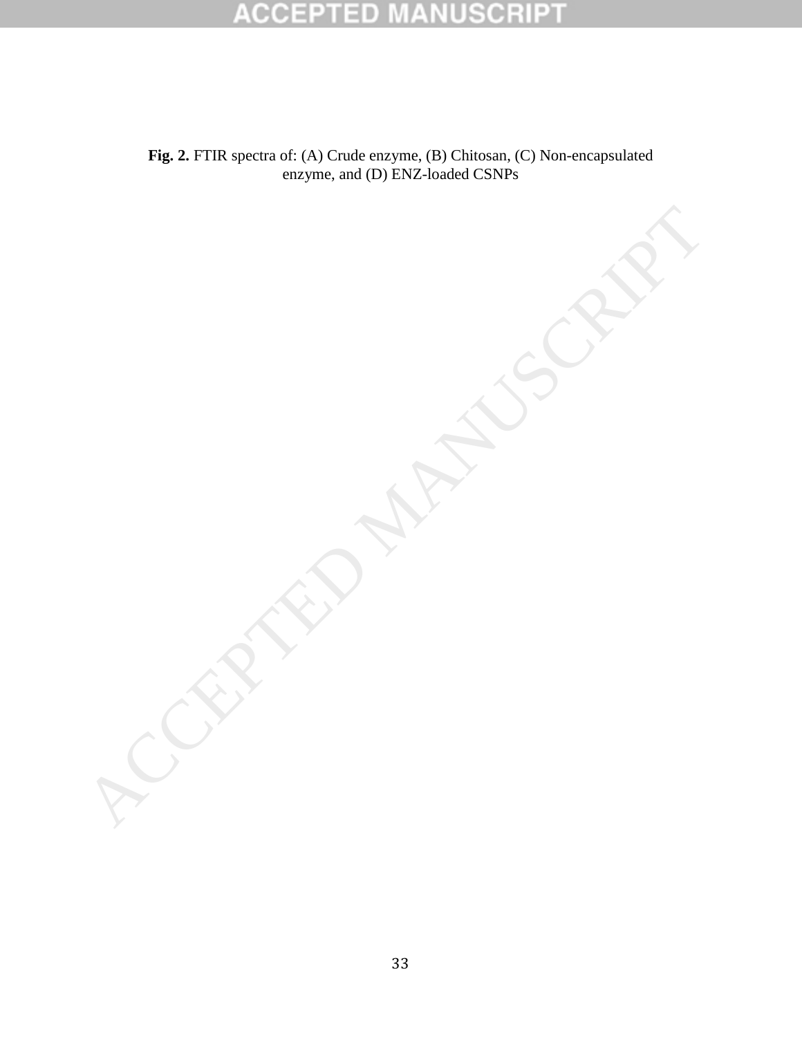### E P 0 D 0  $\pm$ ۰

**Fig. 2.** FTIR spectra of: (A) Crude enzyme, (B) Chitosan, (C) Non-encapsulated enzyme, and (D) ENZ-loaded CSNPs

ACCEPTED MANUSCRIPT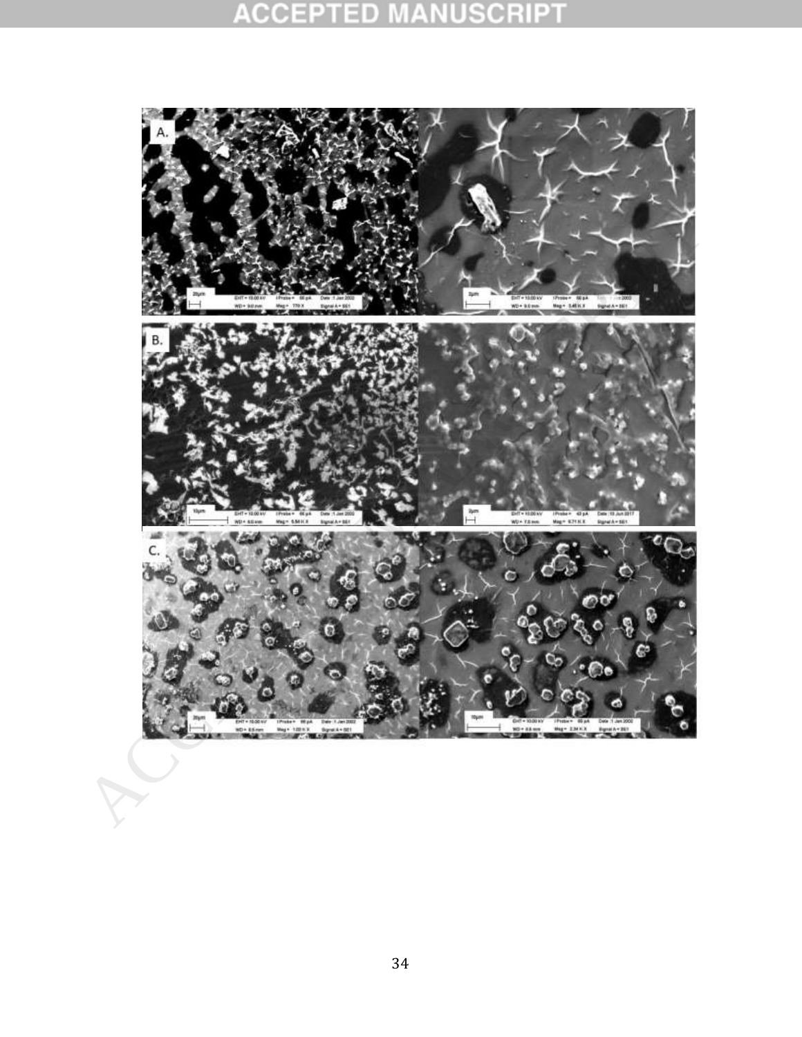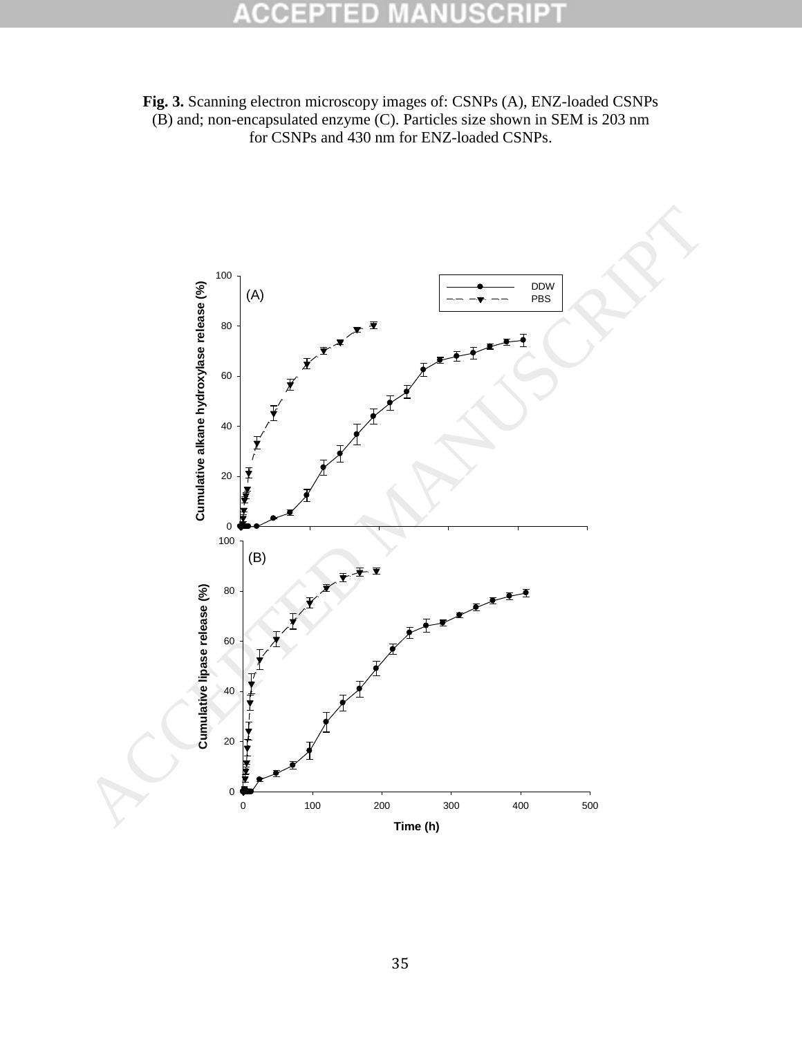### C U)  $\overline{\mathbb{F}}$ D E ۰

**Fig. 3.** Scanning electron microscopy images of: CSNPs (A), ENZ-loaded CSNPs (B) and; non-encapsulated enzyme (C). Particles size shown in SEM is 203 nm for CSNPs and 430 nm for ENZ-loaded CSNPs.

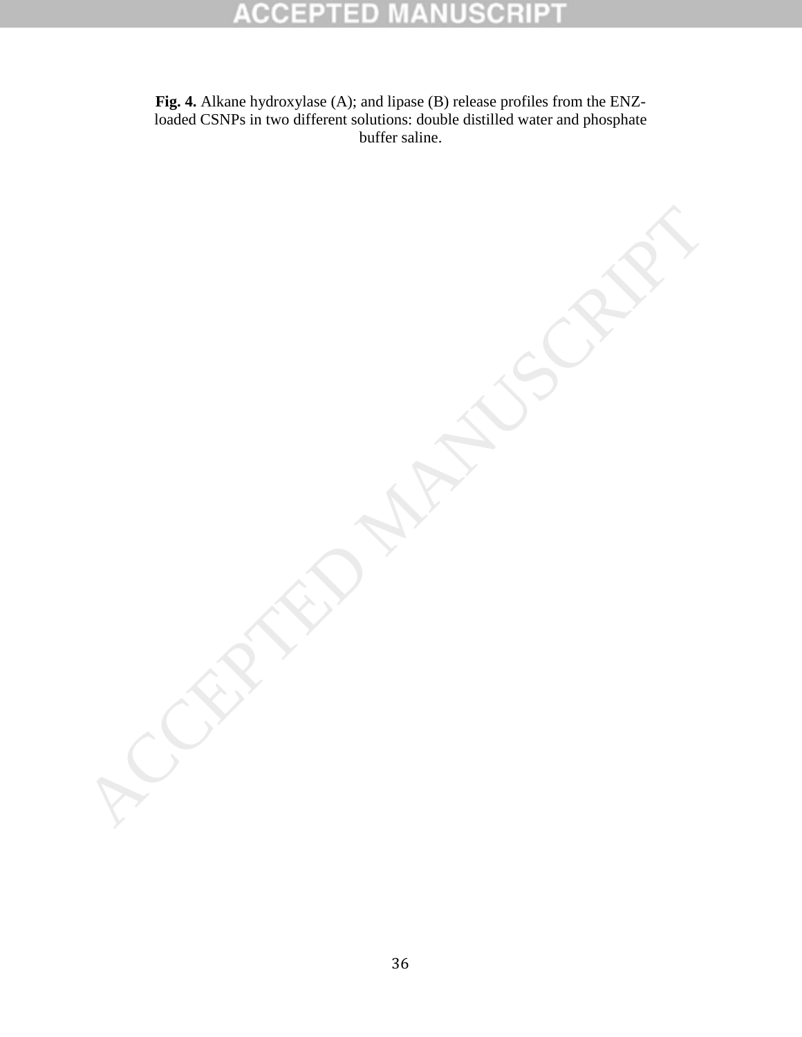### E B ۰ n D 0  $\pm$ ۰

**Fig. 4.** Alkane hydroxylase (A); and lipase (B) release profiles from the ENZloaded CSNPs in two different solutions: double distilled water and phosphate buffer saline.

ACCEPTED MANUSCRIPT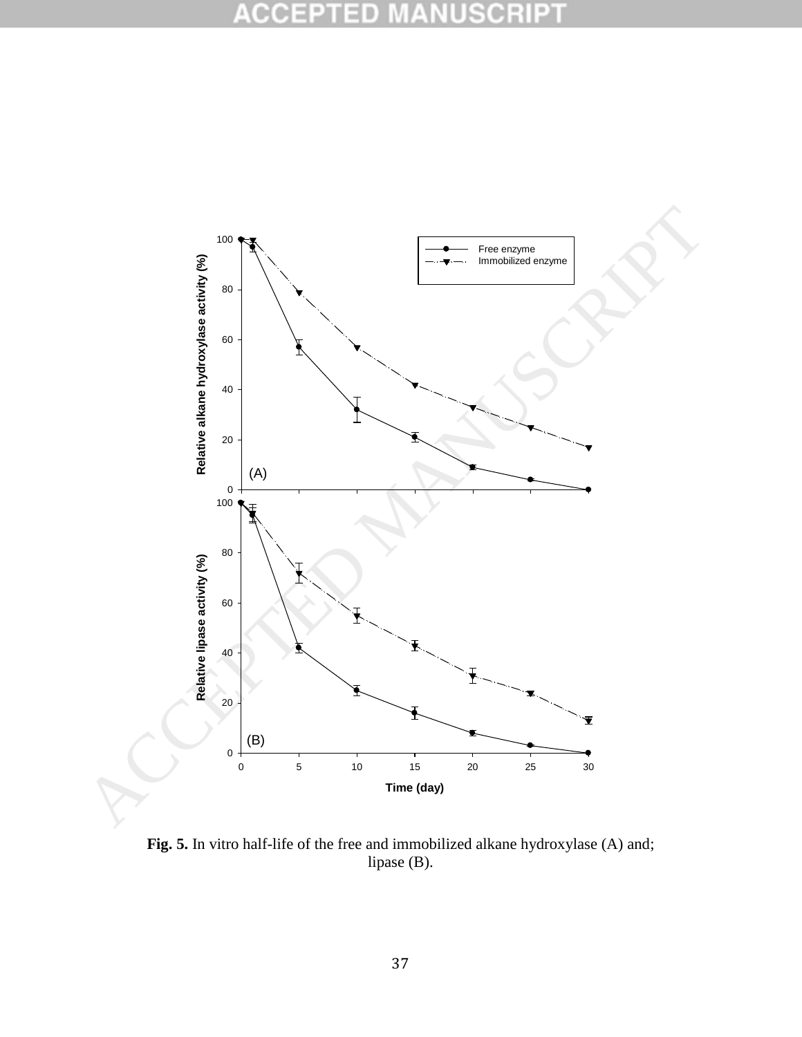

**Fig. 5.** In vitro half-life of the free and immobilized alkane hydroxylase (A) and; lipase (B).